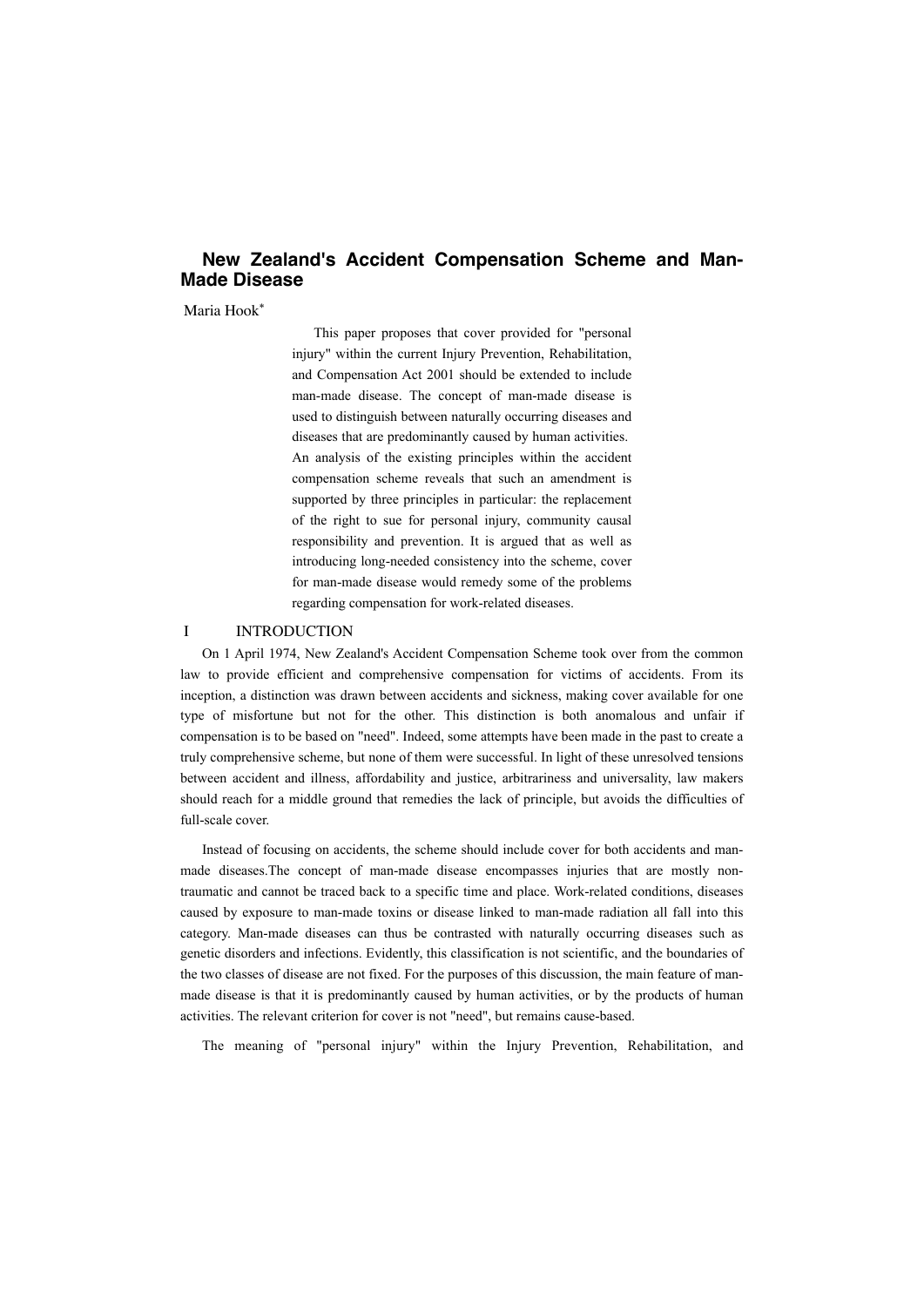# **New Zealand's Accident Compensation Scheme and Man-Made Disease**

Maria Hook\*

This paper proposes that cover provided for "personal injury" within the current Injury Prevention, Rehabilitation, and Compensation Act 2001 should be extended to include man-made disease. The concept of man-made disease is used to distinguish between naturally occurring diseases and diseases that are predominantly caused by human activities. An analysis of the existing principles within the accident compensation scheme reveals that such an amendment is supported by three principles in particular: the replacement of the right to sue for personal injury, community causal responsibility and prevention. It is argued that as well as introducing long-needed consistency into the scheme, cover for man-made disease would remedy some of the problems regarding compensation for work-related diseases.

## I INTRODUCTION

On 1 April 1974, New Zealand's Accident Compensation Scheme took over from the common law to provide efficient and comprehensive compensation for victims of accidents. From its inception, a distinction was drawn between accidents and sickness, making cover available for one type of misfortune but not for the other. This distinction is both anomalous and unfair if compensation is to be based on "need". Indeed, some attempts have been made in the past to create a truly comprehensive scheme, but none of them were successful. In light of these unresolved tensions between accident and illness, affordability and justice, arbitrariness and universality, law makers should reach for a middle ground that remedies the lack of principle, but avoids the difficulties of full-scale cover.

Instead of focusing on accidents, the scheme should include cover for both accidents and manmade diseases.The concept of man-made disease encompasses injuries that are mostly nontraumatic and cannot be traced back to a specific time and place. Work-related conditions, diseases caused by exposure to man-made toxins or disease linked to man-made radiation all fall into this category. Man-made diseases can thus be contrasted with naturally occurring diseases such as genetic disorders and infections. Evidently, this classification is not scientific, and the boundaries of the two classes of disease are not fixed. For the purposes of this discussion, the main feature of manmade disease is that it is predominantly caused by human activities, or by the products of human activities. The relevant criterion for cover is not "need", but remains cause-based.

The meaning of "personal injury" within the Injury Prevention, Rehabilitation, and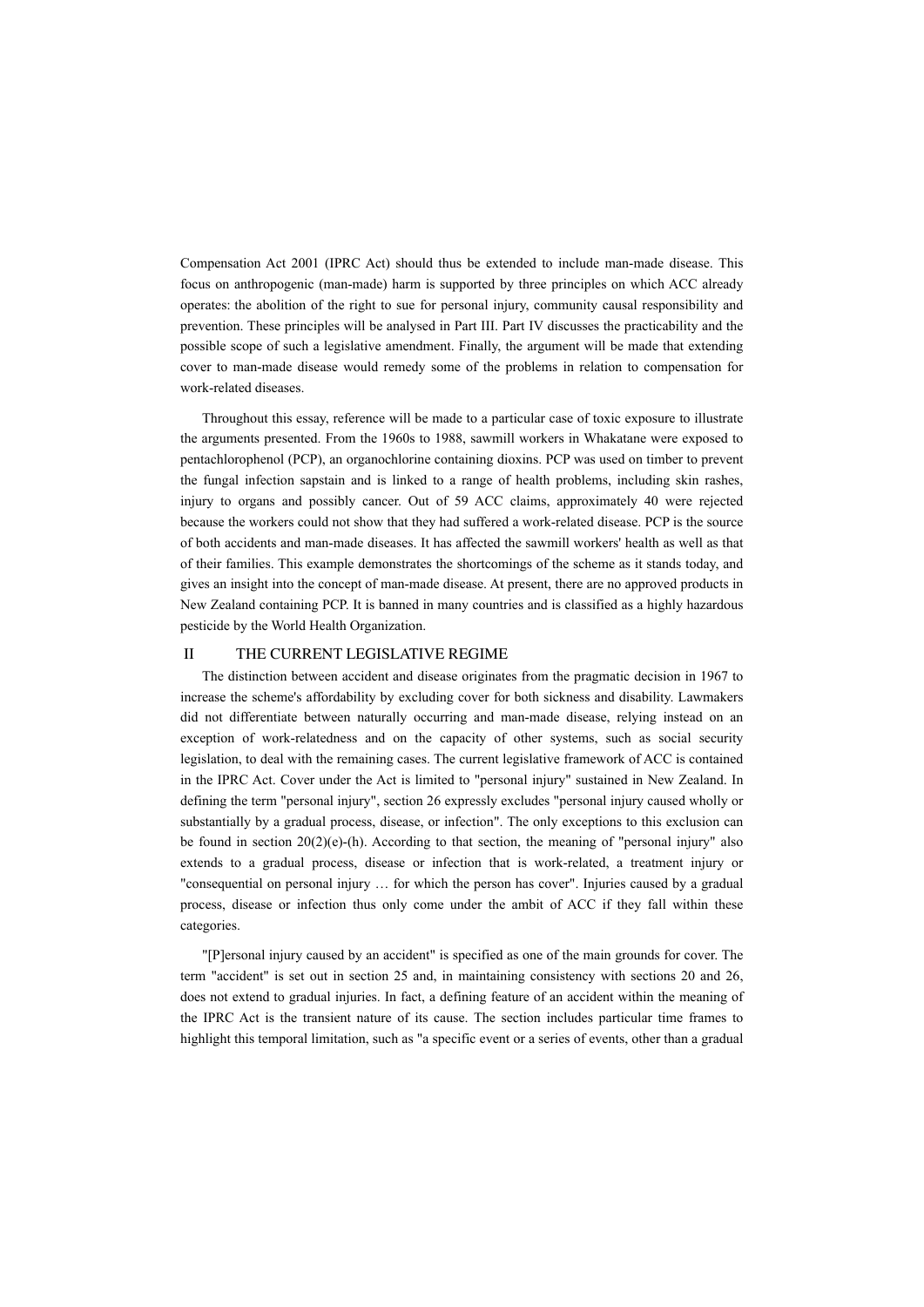Compensation Act 2001 (IPRC Act) should thus be extended to include man-made disease. This focus on anthropogenic (man-made) harm is supported by three principles on which ACC already operates: the abolition of the right to sue for personal injury, community causal responsibility and prevention. These principles will be analysed in Part III. Part IV discusses the practicability and the possible scope of such a legislative amendment. Finally, the argument will be made that extending cover to man-made disease would remedy some of the problems in relation to compensation for work-related diseases.

Throughout this essay, reference will be made to a particular case of toxic exposure to illustrate the arguments presented. From the 1960s to 1988, sawmill workers in Whakatane were exposed to pentachlorophenol (PCP), an organochlorine containing dioxins. PCP was used on timber to prevent the fungal infection sapstain and is linked to a range of health problems, including skin rashes, injury to organs and possibly cancer. Out of 59 ACC claims, approximately 40 were rejected because the workers could not show that they had suffered a work-related disease. PCP is the source of both accidents and man-made diseases. It has affected the sawmill workers' health as well as that of their families. This example demonstrates the shortcomings of the scheme as it stands today, and gives an insight into the concept of man-made disease. At present, there are no approved products in New Zealand containing PCP. It is banned in many countries and is classified as a highly hazardous pesticide by the World Health Organization.

# II THE CURRENT LEGISLATIVE REGIME

The distinction between accident and disease originates from the pragmatic decision in 1967 to increase the scheme's affordability by excluding cover for both sickness and disability. Lawmakers did not differentiate between naturally occurring and man-made disease, relying instead on an exception of work-relatedness and on the capacity of other systems, such as social security legislation, to deal with the remaining cases. The current legislative framework of ACC is contained in the IPRC Act. Cover under the Act is limited to "personal injury" sustained in New Zealand. In defining the term "personal injury", section 26 expressly excludes "personal injury caused wholly or substantially by a gradual process, disease, or infection". The only exceptions to this exclusion can be found in section  $20(2)(e)$ -(h). According to that section, the meaning of "personal injury" also extends to a gradual process, disease or infection that is work-related, a treatment injury or "consequential on personal injury … for which the person has cover". Injuries caused by a gradual process, disease or infection thus only come under the ambit of ACC if they fall within these categories.

"[P]ersonal injury caused by an accident" is specified as one of the main grounds for cover. The term "accident" is set out in section 25 and, in maintaining consistency with sections 20 and 26, does not extend to gradual injuries. In fact, a defining feature of an accident within the meaning of the IPRC Act is the transient nature of its cause. The section includes particular time frames to highlight this temporal limitation, such as "a specific event or a series of events, other than a gradual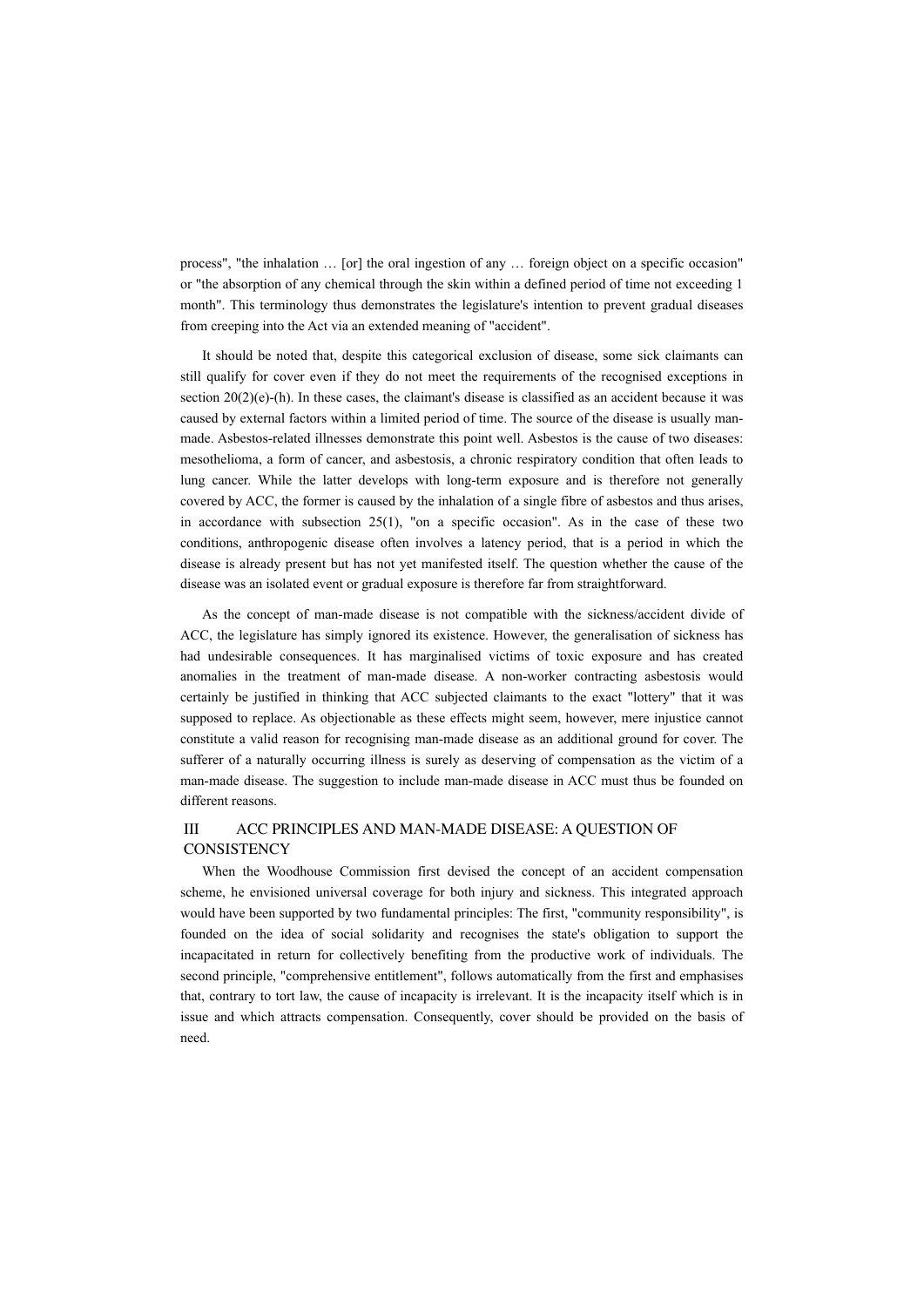process", "the inhalation … [or] the oral ingestion of any … foreign object on a specific occasion" or "the absorption of any chemical through the skin within a defined period of time not exceeding 1 month". This terminology thus demonstrates the legislature's intention to prevent gradual diseases from creeping into the Act via an extended meaning of "accident".

It should be noted that, despite this categorical exclusion of disease, some sick claimants can still qualify for cover even if they do not meet the requirements of the recognised exceptions in section  $20(2)(e)$ -(h). In these cases, the claimant's disease is classified as an accident because it was caused by external factors within a limited period of time. The source of the disease is usually manmade. Asbestos-related illnesses demonstrate this point well. Asbestos is the cause of two diseases: mesothelioma, a form of cancer, and asbestosis, a chronic respiratory condition that often leads to lung cancer. While the latter develops with long-term exposure and is therefore not generally covered by ACC, the former is caused by the inhalation of a single fibre of asbestos and thus arises, in accordance with subsection  $25(1)$ , "on a specific occasion". As in the case of these two conditions, anthropogenic disease often involves a latency period, that is a period in which the disease is already present but has not yet manifested itself. The question whether the cause of the disease was an isolated event or gradual exposure is therefore far from straightforward.

As the concept of man-made disease is not compatible with the sickness/accident divide of ACC, the legislature has simply ignored its existence. However, the generalisation of sickness has had undesirable consequences. It has marginalised victims of toxic exposure and has created anomalies in the treatment of man-made disease. A non-worker contracting asbestosis would certainly be justified in thinking that ACC subjected claimants to the exact "lottery" that it was supposed to replace. As objectionable as these effects might seem, however, mere injustice cannot constitute a valid reason for recognising man-made disease as an additional ground for cover. The sufferer of a naturally occurring illness is surely as deserving of compensation as the victim of a man-made disease. The suggestion to include man-made disease in ACC must thus be founded on different reasons.

# III ACC PRINCIPLES AND MAN-MADE DISEASE: A QUESTION OF **CONSISTENCY**

When the Woodhouse Commission first devised the concept of an accident compensation scheme, he envisioned universal coverage for both injury and sickness. This integrated approach would have been supported by two fundamental principles: The first, "community responsibility", is founded on the idea of social solidarity and recognises the state's obligation to support the incapacitated in return for collectively benefiting from the productive work of individuals. The second principle, "comprehensive entitlement", follows automatically from the first and emphasises that, contrary to tort law, the cause of incapacity is irrelevant. It is the incapacity itself which is in issue and which attracts compensation. Consequently, cover should be provided on the basis of need.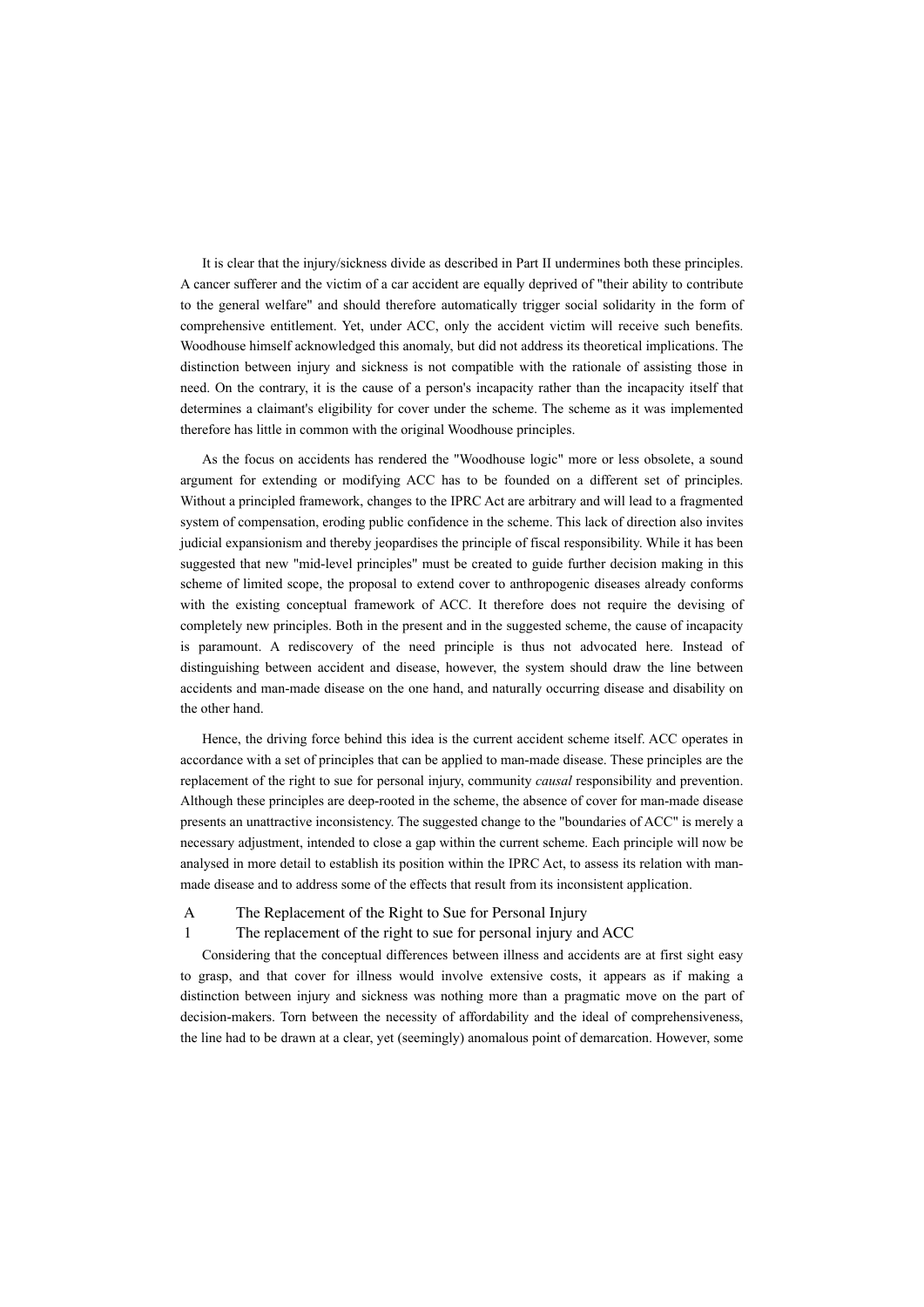It is clear that the injury/sickness divide as described in Part II undermines both these principles. A cancer sufferer and the victim of a car accident are equally deprived of "their ability to contribute to the general welfare" and should therefore automatically trigger social solidarity in the form of comprehensive entitlement. Yet, under ACC, only the accident victim will receive such benefits. Woodhouse himself acknowledged this anomaly, but did not address its theoretical implications. The distinction between injury and sickness is not compatible with the rationale of assisting those in need. On the contrary, it is the cause of a person's incapacity rather than the incapacity itself that determines a claimant's eligibility for cover under the scheme. The scheme as it was implemented therefore has little in common with the original Woodhouse principles.

As the focus on accidents has rendered the "Woodhouse logic" more or less obsolete, a sound argument for extending or modifying ACC has to be founded on a different set of principles. Without a principled framework, changes to the IPRC Act are arbitrary and will lead to a fragmented system of compensation, eroding public confidence in the scheme. This lack of direction also invites judicial expansionism and thereby jeopardises the principle of fiscal responsibility. While it has been suggested that new "mid-level principles" must be created to guide further decision making in this scheme of limited scope, the proposal to extend cover to anthropogenic diseases already conforms with the existing conceptual framework of ACC. It therefore does not require the devising of completely new principles. Both in the present and in the suggested scheme, the cause of incapacity is paramount. A rediscovery of the need principle is thus not advocated here. Instead of distinguishing between accident and disease, however, the system should draw the line between accidents and man-made disease on the one hand, and naturally occurring disease and disability on the other hand.

Hence, the driving force behind this idea is the current accident scheme itself. ACC operates in accordance with a set of principles that can be applied to man-made disease. These principles are the replacement of the right to sue for personal injury, community *causal* responsibility and prevention. Although these principles are deep-rooted in the scheme, the absence of cover for man-made disease presents an unattractive inconsistency. The suggested change to the "boundaries of ACC" is merely a necessary adjustment, intended to close a gap within the current scheme. Each principle will now be analysed in more detail to establish its position within the IPRC Act, to assess its relation with manmade disease and to address some of the effects that result from its inconsistent application.

A The Replacement of the Right to Sue for Personal Injury

## 1 The replacement of the right to sue for personal injury and ACC

Considering that the conceptual differences between illness and accidents are at first sight easy to grasp, and that cover for illness would involve extensive costs, it appears as if making a distinction between injury and sickness was nothing more than a pragmatic move on the part of decision-makers. Torn between the necessity of affordability and the ideal of comprehensiveness, the line had to be drawn at a clear, yet (seemingly) anomalous point of demarcation. However, some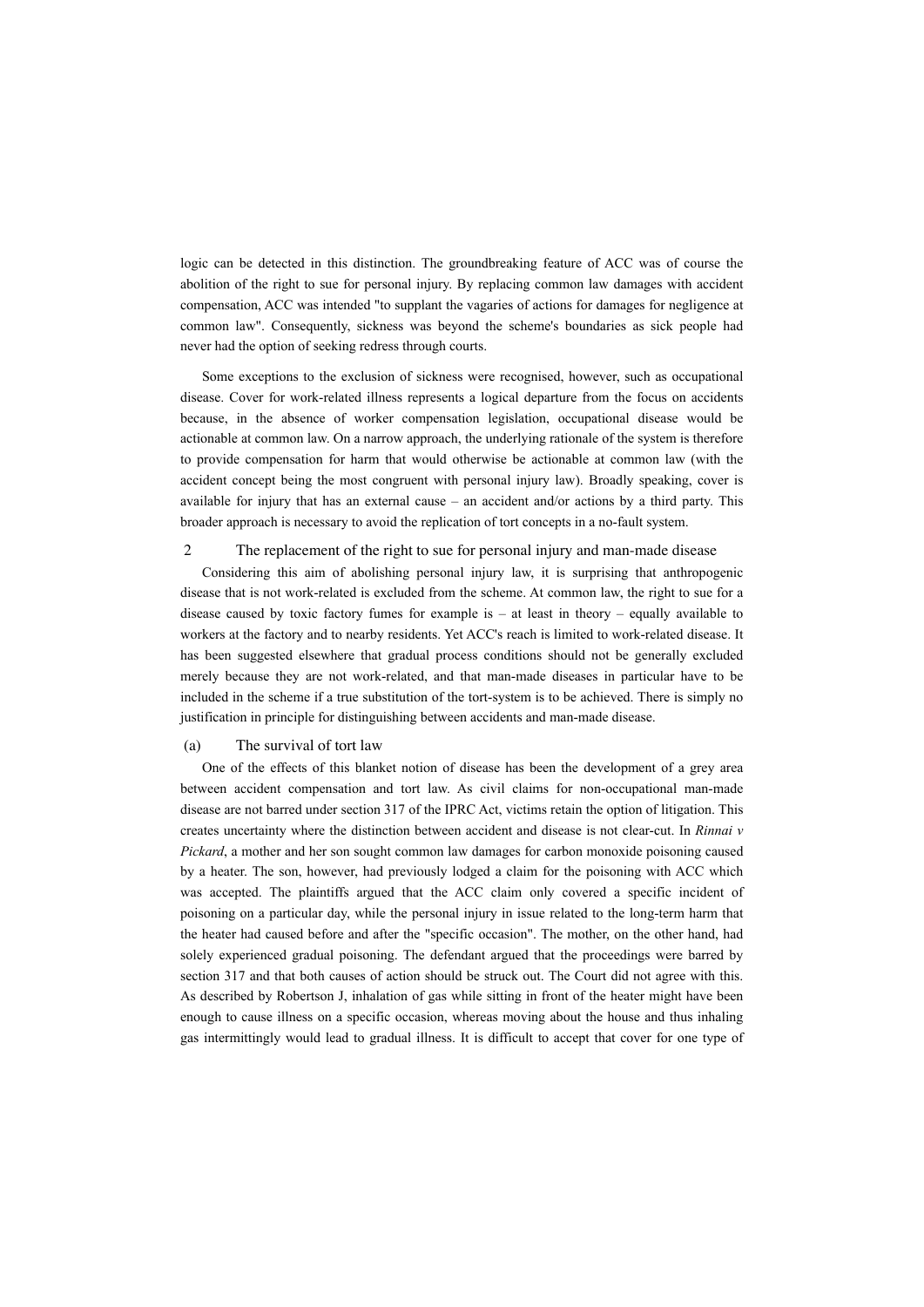logic can be detected in this distinction. The groundbreaking feature of ACC was of course the abolition of the right to sue for personal injury. By replacing common law damages with accident compensation, ACC was intended "to supplant the vagaries of actions for damages for negligence at common law". Consequently, sickness was beyond the scheme's boundaries as sick people had never had the option of seeking redress through courts.

Some exceptions to the exclusion of sickness were recognised, however, such as occupational disease. Cover for work-related illness represents a logical departure from the focus on accidents because, in the absence of worker compensation legislation, occupational disease would be actionable at common law. On a narrow approach, the underlying rationale of the system is therefore to provide compensation for harm that would otherwise be actionable at common law (with the accident concept being the most congruent with personal injury law). Broadly speaking, cover is available for injury that has an external cause – an accident and/or actions by a third party. This broader approach is necessary to avoid the replication of tort concepts in a no-fault system.

## 2 The replacement of the right to sue for personal injury and man-made disease

Considering this aim of abolishing personal injury law, it is surprising that anthropogenic disease that is not work-related is excluded from the scheme. At common law, the right to sue for a disease caused by toxic factory fumes for example is  $-$  at least in theory  $-$  equally available to workers at the factory and to nearby residents. Yet ACC's reach is limited to work-related disease. It has been suggested elsewhere that gradual process conditions should not be generally excluded merely because they are not work-related, and that man-made diseases in particular have to be included in the scheme if a true substitution of the tort-system is to be achieved. There is simply no justification in principle for distinguishing between accidents and man-made disease.

## (a) The survival of tort law

One of the effects of this blanket notion of disease has been the development of a grey area between accident compensation and tort law. As civil claims for non-occupational man-made disease are not barred under section 317 of the IPRC Act, victims retain the option of litigation. This creates uncertainty where the distinction between accident and disease is not clear-cut. In *Rinnai v Pickard*, a mother and her son sought common law damages for carbon monoxide poisoning caused by a heater. The son, however, had previously lodged a claim for the poisoning with ACC which was accepted. The plaintiffs argued that the ACC claim only covered a specific incident of poisoning on a particular day, while the personal injury in issue related to the long-term harm that the heater had caused before and after the "specific occasion". The mother, on the other hand, had solely experienced gradual poisoning. The defendant argued that the proceedings were barred by section 317 and that both causes of action should be struck out. The Court did not agree with this. As described by Robertson J, inhalation of gas while sitting in front of the heater might have been enough to cause illness on a specific occasion, whereas moving about the house and thus inhaling gas intermittingly would lead to gradual illness. It is difficult to accept that cover for one type of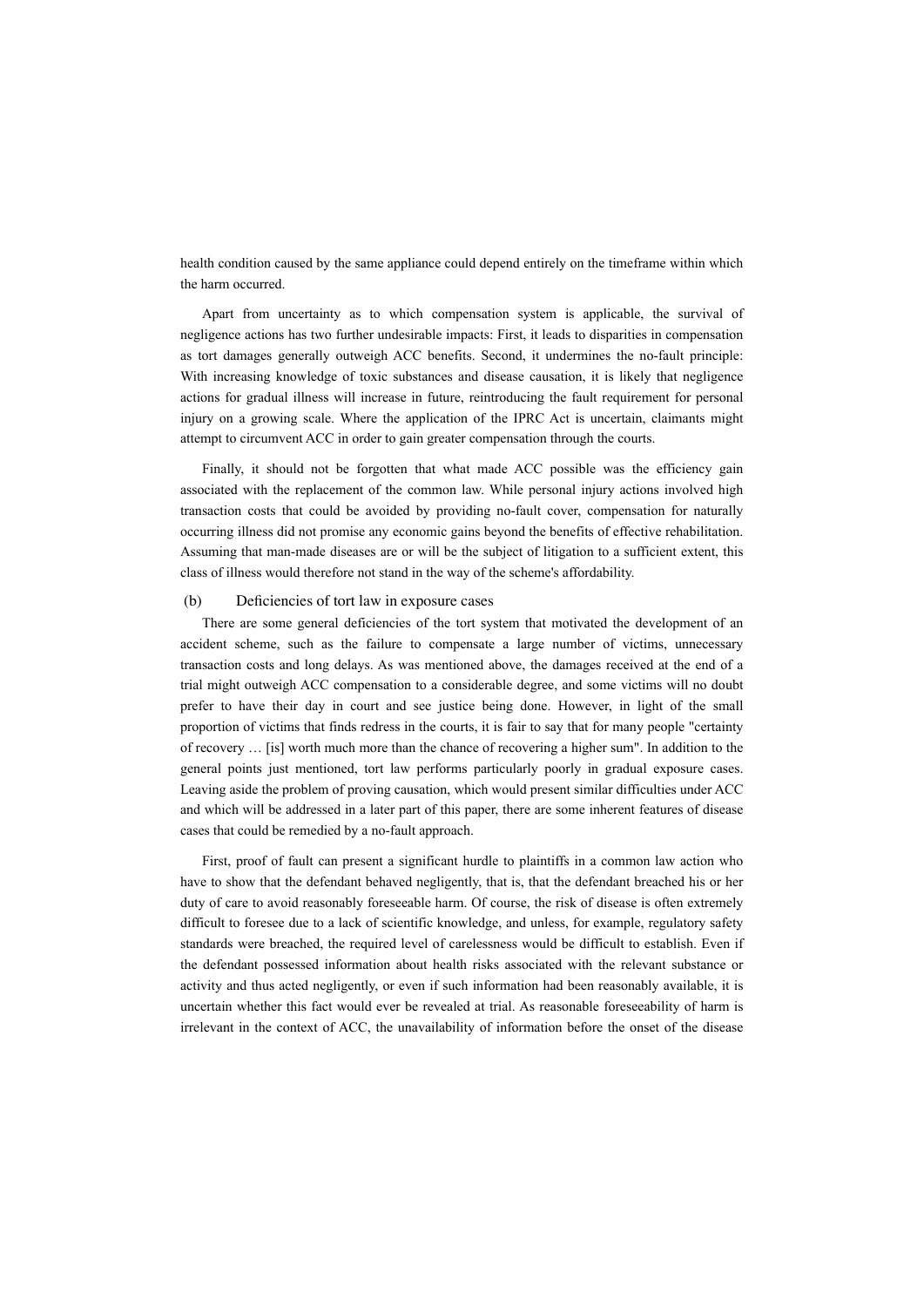health condition caused by the same appliance could depend entirely on the timeframe within which the harm occurred.

Apart from uncertainty as to which compensation system is applicable, the survival of negligence actions has two further undesirable impacts: First, it leads to disparities in compensation as tort damages generally outweigh ACC benefits. Second, it undermines the no-fault principle: With increasing knowledge of toxic substances and disease causation, it is likely that negligence actions for gradual illness will increase in future, reintroducing the fault requirement for personal injury on a growing scale. Where the application of the IPRC Act is uncertain, claimants might attempt to circumvent ACC in order to gain greater compensation through the courts.

Finally, it should not be forgotten that what made ACC possible was the efficiency gain associated with the replacement of the common law. While personal injury actions involved high transaction costs that could be avoided by providing no-fault cover, compensation for naturally occurring illness did not promise any economic gains beyond the benefits of effective rehabilitation. Assuming that man-made diseases are or will be the subject of litigation to a sufficient extent, this class of illness would therefore not stand in the way of the scheme's affordability.

#### (b) Deficiencies of tort law in exposure cases

There are some general deficiencies of the tort system that motivated the development of an accident scheme, such as the failure to compensate a large number of victims, unnecessary transaction costs and long delays. As was mentioned above, the damages received at the end of a trial might outweigh ACC compensation to a considerable degree, and some victims will no doubt prefer to have their day in court and see justice being done. However, in light of the small proportion of victims that finds redress in the courts, it is fair to say that for many people "certainty of recovery … [is] worth much more than the chance of recovering a higher sum". In addition to the general points just mentioned, tort law performs particularly poorly in gradual exposure cases. Leaving aside the problem of proving causation, which would present similar difficulties under ACC and which will be addressed in a later part of this paper, there are some inherent features of disease cases that could be remedied by a no-fault approach.

First, proof of fault can present a significant hurdle to plaintiffs in a common law action who have to show that the defendant behaved negligently, that is, that the defendant breached his or her duty of care to avoid reasonably foreseeable harm. Of course, the risk of disease is often extremely difficult to foresee due to a lack of scientific knowledge, and unless, for example, regulatory safety standards were breached, the required level of carelessness would be difficult to establish. Even if the defendant possessed information about health risks associated with the relevant substance or activity and thus acted negligently, or even if such information had been reasonably available, it is uncertain whether this fact would ever be revealed at trial. As reasonable foreseeability of harm is irrelevant in the context of ACC, the unavailability of information before the onset of the disease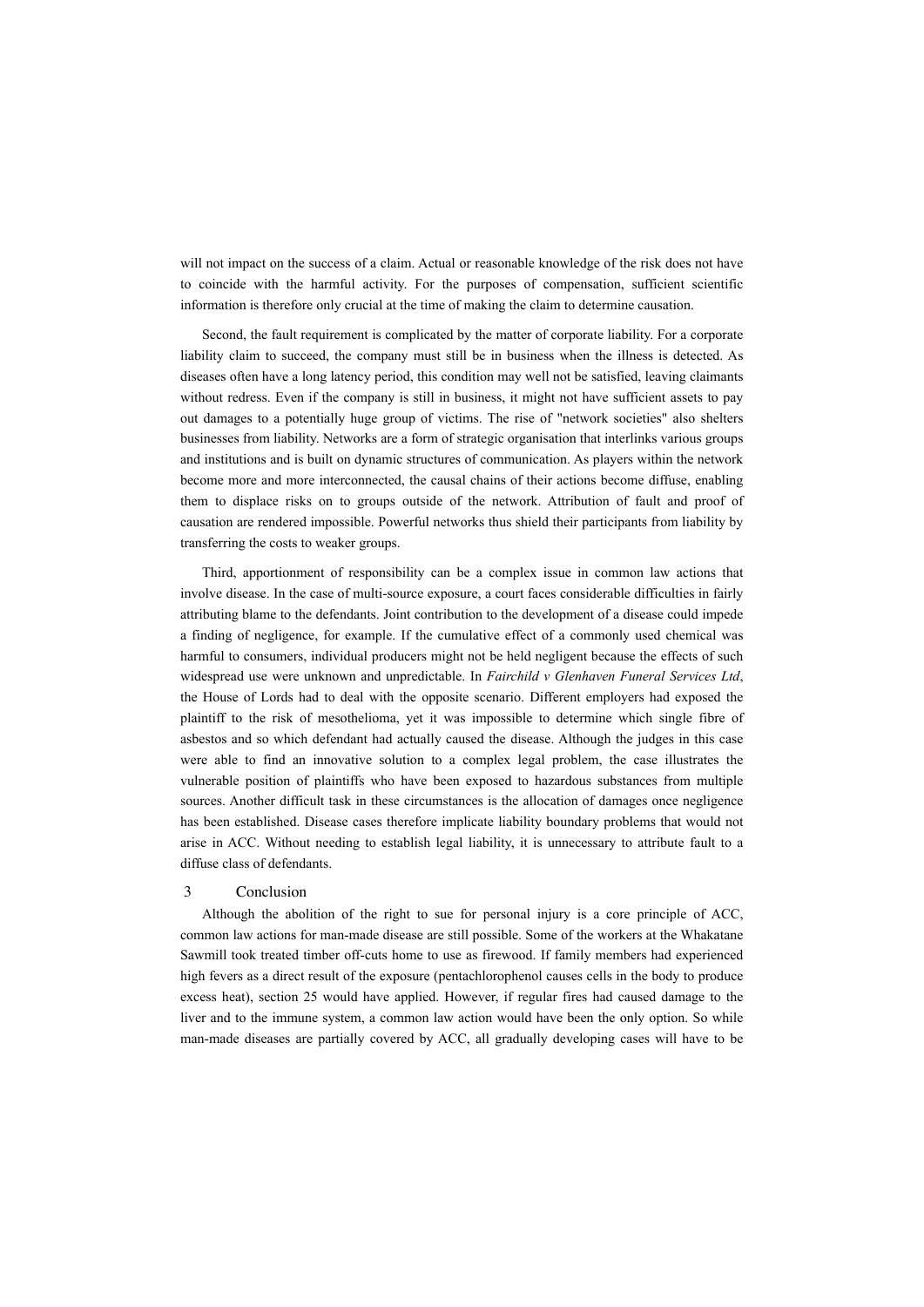will not impact on the success of a claim. Actual or reasonable knowledge of the risk does not have to coincide with the harmful activity. For the purposes of compensation, sufficient scientific information is therefore only crucial at the time of making the claim to determine causation.

Second, the fault requirement is complicated by the matter of corporate liability. For a corporate liability claim to succeed, the company must still be in business when the illness is detected. As diseases often have a long latency period, this condition may well not be satisfied, leaving claimants without redress. Even if the company is still in business, it might not have sufficient assets to pay out damages to a potentially huge group of victims. The rise of "network societies" also shelters businesses from liability. Networks are a form of strategic organisation that interlinks various groups and institutions and is built on dynamic structures of communication. As players within the network become more and more interconnected, the causal chains of their actions become diffuse, enabling them to displace risks on to groups outside of the network. Attribution of fault and proof of causation are rendered impossible. Powerful networks thus shield their participants from liability by transferring the costs to weaker groups.

Third, apportionment of responsibility can be a complex issue in common law actions that involve disease. In the case of multi-source exposure, a court faces considerable difficulties in fairly attributing blame to the defendants. Joint contribution to the development of a disease could impede a finding of negligence, for example. If the cumulative effect of a commonly used chemical was harmful to consumers, individual producers might not be held negligent because the effects of such widespread use were unknown and unpredictable. In *Fairchild v Glenhaven Funeral Services Ltd*, the House of Lords had to deal with the opposite scenario. Different employers had exposed the plaintiff to the risk of mesothelioma, yet it was impossible to determine which single fibre of asbestos and so which defendant had actually caused the disease. Although the judges in this case were able to find an innovative solution to a complex legal problem, the case illustrates the vulnerable position of plaintiffs who have been exposed to hazardous substances from multiple sources. Another difficult task in these circumstances is the allocation of damages once negligence has been established. Disease cases therefore implicate liability boundary problems that would not arise in ACC. Without needing to establish legal liability, it is unnecessary to attribute fault to a diffuse class of defendants.

#### 3 Conclusion

Although the abolition of the right to sue for personal injury is a core principle of ACC, common law actions for man-made disease are still possible. Some of the workers at the Whakatane Sawmill took treated timber off-cuts home to use as firewood. If family members had experienced high fevers as a direct result of the exposure (pentachlorophenol causes cells in the body to produce excess heat), section 25 would have applied. However, if regular fires had caused damage to the liver and to the immune system, a common law action would have been the only option. So while man-made diseases are partially covered by ACC, all gradually developing cases will have to be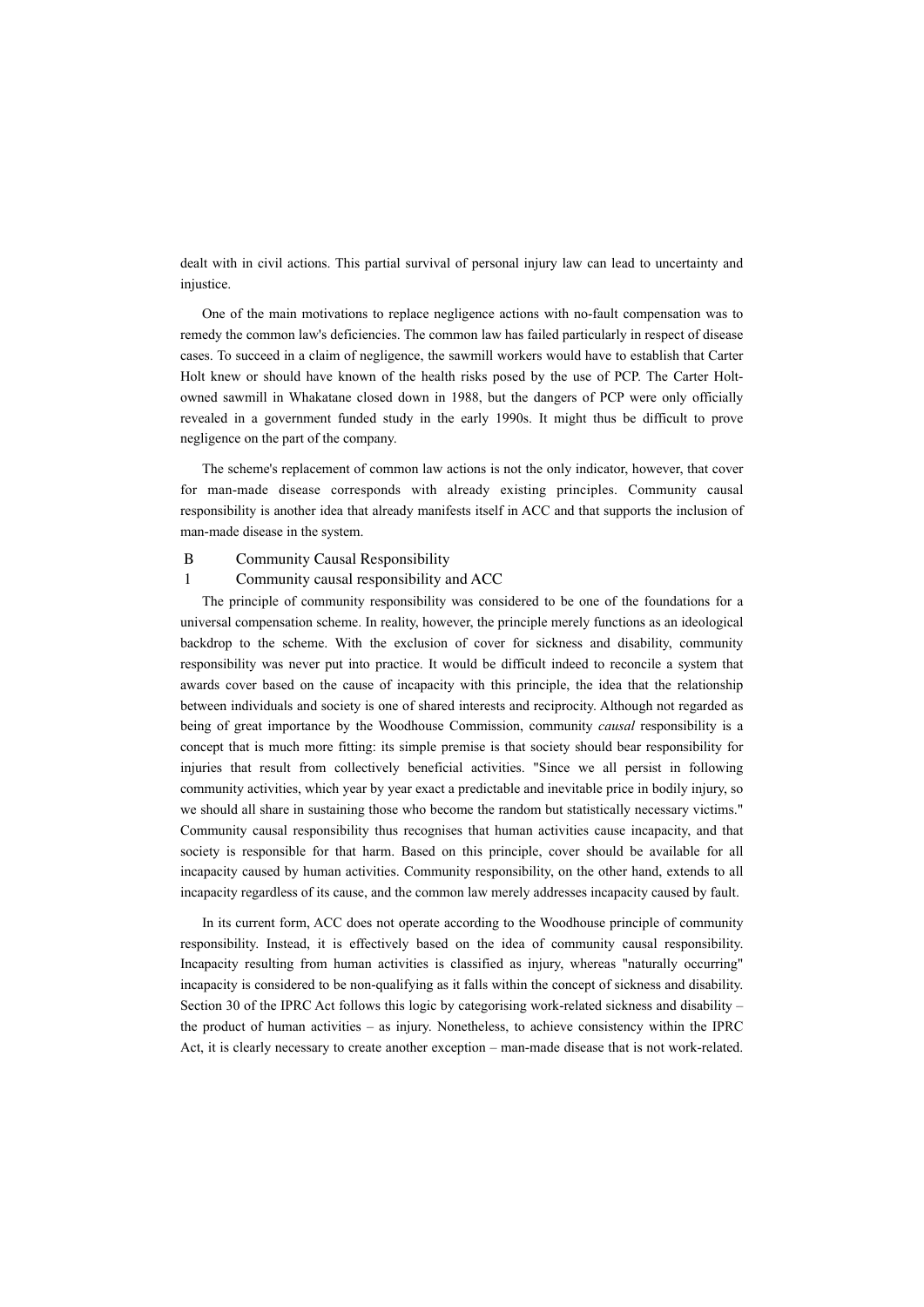dealt with in civil actions. This partial survival of personal injury law can lead to uncertainty and injustice.

One of the main motivations to replace negligence actions with no-fault compensation was to remedy the common law's deficiencies. The common law has failed particularly in respect of disease cases. To succeed in a claim of negligence, the sawmill workers would have to establish that Carter Holt knew or should have known of the health risks posed by the use of PCP. The Carter Holtowned sawmill in Whakatane closed down in 1988, but the dangers of PCP were only officially revealed in a government funded study in the early 1990s. It might thus be difficult to prove negligence on the part of the company.

The scheme's replacement of common law actions is not the only indicator, however, that cover for man-made disease corresponds with already existing principles. Community causal responsibility is another idea that already manifests itself in ACC and that supports the inclusion of man-made disease in the system.

## B Community Causal Responsibility

#### 1 Community causal responsibility and ACC

The principle of community responsibility was considered to be one of the foundations for a universal compensation scheme. In reality, however, the principle merely functions as an ideological backdrop to the scheme. With the exclusion of cover for sickness and disability, community responsibility was never put into practice. It would be difficult indeed to reconcile a system that awards cover based on the cause of incapacity with this principle, the idea that the relationship between individuals and society is one of shared interests and reciprocity. Although not regarded as being of great importance by the Woodhouse Commission, community *causal* responsibility is a concept that is much more fitting: its simple premise is that society should bear responsibility for injuries that result from collectively beneficial activities. "Since we all persist in following community activities, which year by year exact a predictable and inevitable price in bodily injury, so we should all share in sustaining those who become the random but statistically necessary victims." Community causal responsibility thus recognises that human activities cause incapacity, and that society is responsible for that harm. Based on this principle, cover should be available for all incapacity caused by human activities. Community responsibility, on the other hand, extends to all incapacity regardless of its cause, and the common law merely addresses incapacity caused by fault.

In its current form, ACC does not operate according to the Woodhouse principle of community responsibility. Instead, it is effectively based on the idea of community causal responsibility. Incapacity resulting from human activities is classified as injury, whereas "naturally occurring" incapacity is considered to be non-qualifying as it falls within the concept of sickness and disability. Section 30 of the IPRC Act follows this logic by categorising work-related sickness and disability – the product of human activities – as injury. Nonetheless, to achieve consistency within the IPRC Act, it is clearly necessary to create another exception – man-made disease that is not work-related.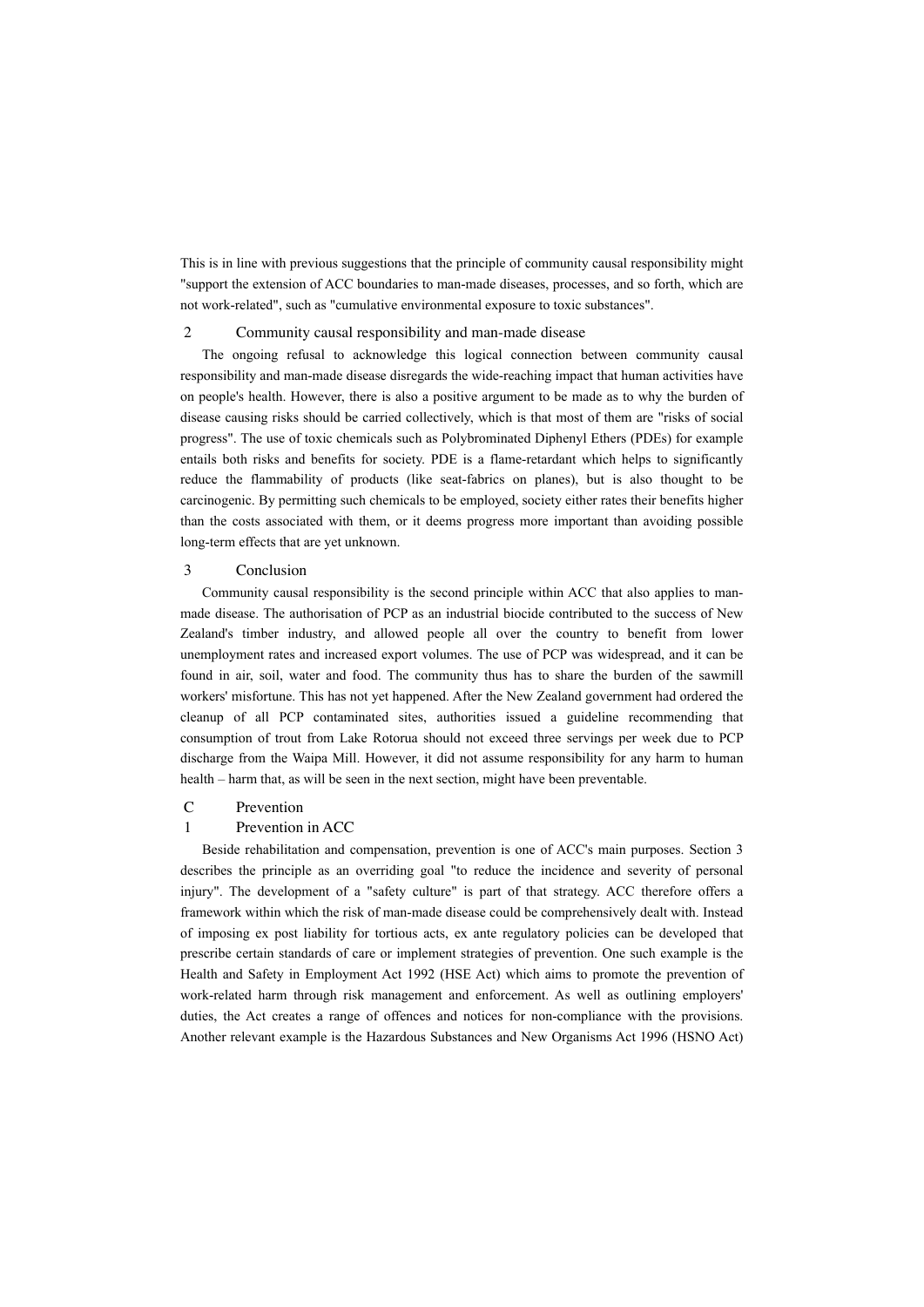This is in line with previous suggestions that the principle of community causal responsibility might "support the extension of ACC boundaries to man-made diseases, processes, and so forth, which are not work-related", such as "cumulative environmental exposure to toxic substances".

## 2 Community causal responsibility and man-made disease

The ongoing refusal to acknowledge this logical connection between community causal responsibility and man-made disease disregards the wide-reaching impact that human activities have on people's health. However, there is also a positive argument to be made as to why the burden of disease causing risks should be carried collectively, which is that most of them are "risks of social progress". The use of toxic chemicals such as Polybrominated Diphenyl Ethers (PDEs) for example entails both risks and benefits for society. PDE is a flame-retardant which helps to significantly reduce the flammability of products (like seat-fabrics on planes), but is also thought to be carcinogenic. By permitting such chemicals to be employed, society either rates their benefits higher than the costs associated with them, or it deems progress more important than avoiding possible long-term effects that are yet unknown.

# 3 Conclusion

Community causal responsibility is the second principle within ACC that also applies to manmade disease. The authorisation of PCP as an industrial biocide contributed to the success of New Zealand's timber industry, and allowed people all over the country to benefit from lower unemployment rates and increased export volumes. The use of PCP was widespread, and it can be found in air, soil, water and food. The community thus has to share the burden of the sawmill workers' misfortune. This has not yet happened. After the New Zealand government had ordered the cleanup of all PCP contaminated sites, authorities issued a guideline recommending that consumption of trout from Lake Rotorua should not exceed three servings per week due to PCP discharge from the Waipa Mill. However, it did not assume responsibility for any harm to human health – harm that, as will be seen in the next section, might have been preventable.

## C Prevention

## 1 Prevention in ACC

Beside rehabilitation and compensation, prevention is one of ACC's main purposes. Section 3 describes the principle as an overriding goal "to reduce the incidence and severity of personal injury". The development of a "safety culture" is part of that strategy. ACC therefore offers a framework within which the risk of man-made disease could be comprehensively dealt with. Instead of imposing ex post liability for tortious acts, ex ante regulatory policies can be developed that prescribe certain standards of care or implement strategies of prevention. One such example is the Health and Safety in Employment Act 1992 (HSE Act) which aims to promote the prevention of work-related harm through risk management and enforcement. As well as outlining employers' duties, the Act creates a range of offences and notices for non-compliance with the provisions. Another relevant example is the Hazardous Substances and New Organisms Act 1996 (HSNO Act)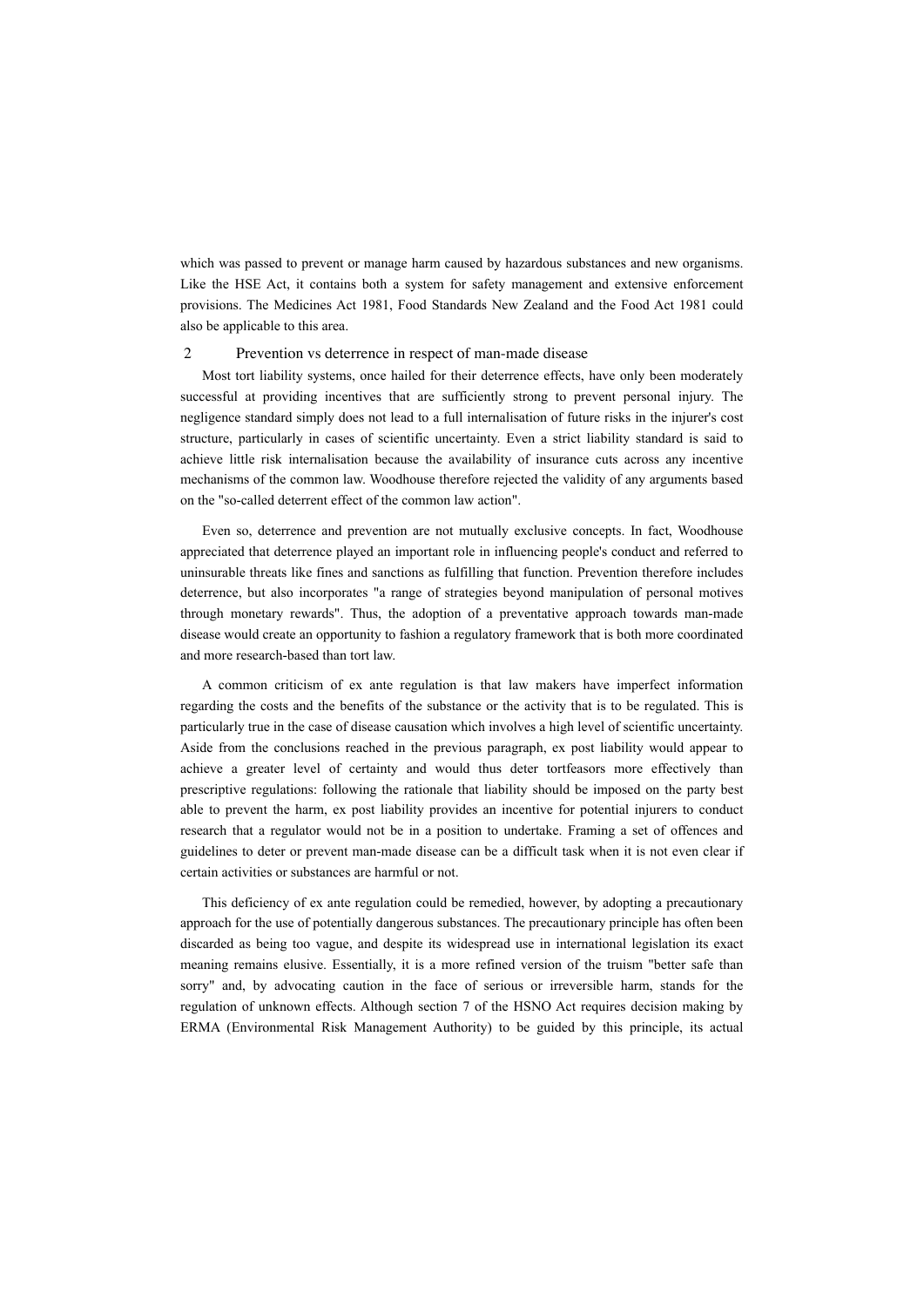which was passed to prevent or manage harm caused by hazardous substances and new organisms. Like the HSE Act, it contains both a system for safety management and extensive enforcement provisions. The Medicines Act 1981, Food Standards New Zealand and the Food Act 1981 could also be applicable to this area.

## 2 Prevention vs deterrence in respect of man-made disease

Most tort liability systems, once hailed for their deterrence effects, have only been moderately successful at providing incentives that are sufficiently strong to prevent personal injury. The negligence standard simply does not lead to a full internalisation of future risks in the injurer's cost structure, particularly in cases of scientific uncertainty. Even a strict liability standard is said to achieve little risk internalisation because the availability of insurance cuts across any incentive mechanisms of the common law. Woodhouse therefore rejected the validity of any arguments based on the "so-called deterrent effect of the common law action".

Even so, deterrence and prevention are not mutually exclusive concepts. In fact, Woodhouse appreciated that deterrence played an important role in influencing people's conduct and referred to uninsurable threats like fines and sanctions as fulfilling that function. Prevention therefore includes deterrence, but also incorporates "a range of strategies beyond manipulation of personal motives through monetary rewards". Thus, the adoption of a preventative approach towards man-made disease would create an opportunity to fashion a regulatory framework that is both more coordinated and more research-based than tort law.

A common criticism of ex ante regulation is that law makers have imperfect information regarding the costs and the benefits of the substance or the activity that is to be regulated. This is particularly true in the case of disease causation which involves a high level of scientific uncertainty. Aside from the conclusions reached in the previous paragraph, ex post liability would appear to achieve a greater level of certainty and would thus deter tortfeasors more effectively than prescriptive regulations: following the rationale that liability should be imposed on the party best able to prevent the harm, ex post liability provides an incentive for potential injurers to conduct research that a regulator would not be in a position to undertake. Framing a set of offences and guidelines to deter or prevent man-made disease can be a difficult task when it is not even clear if certain activities or substances are harmful or not.

This deficiency of ex ante regulation could be remedied, however, by adopting a precautionary approach for the use of potentially dangerous substances. The precautionary principle has often been discarded as being too vague, and despite its widespread use in international legislation its exact meaning remains elusive. Essentially, it is a more refined version of the truism "better safe than sorry" and, by advocating caution in the face of serious or irreversible harm, stands for the regulation of unknown effects. Although section 7 of the HSNO Act requires decision making by ERMA (Environmental Risk Management Authority) to be guided by this principle, its actual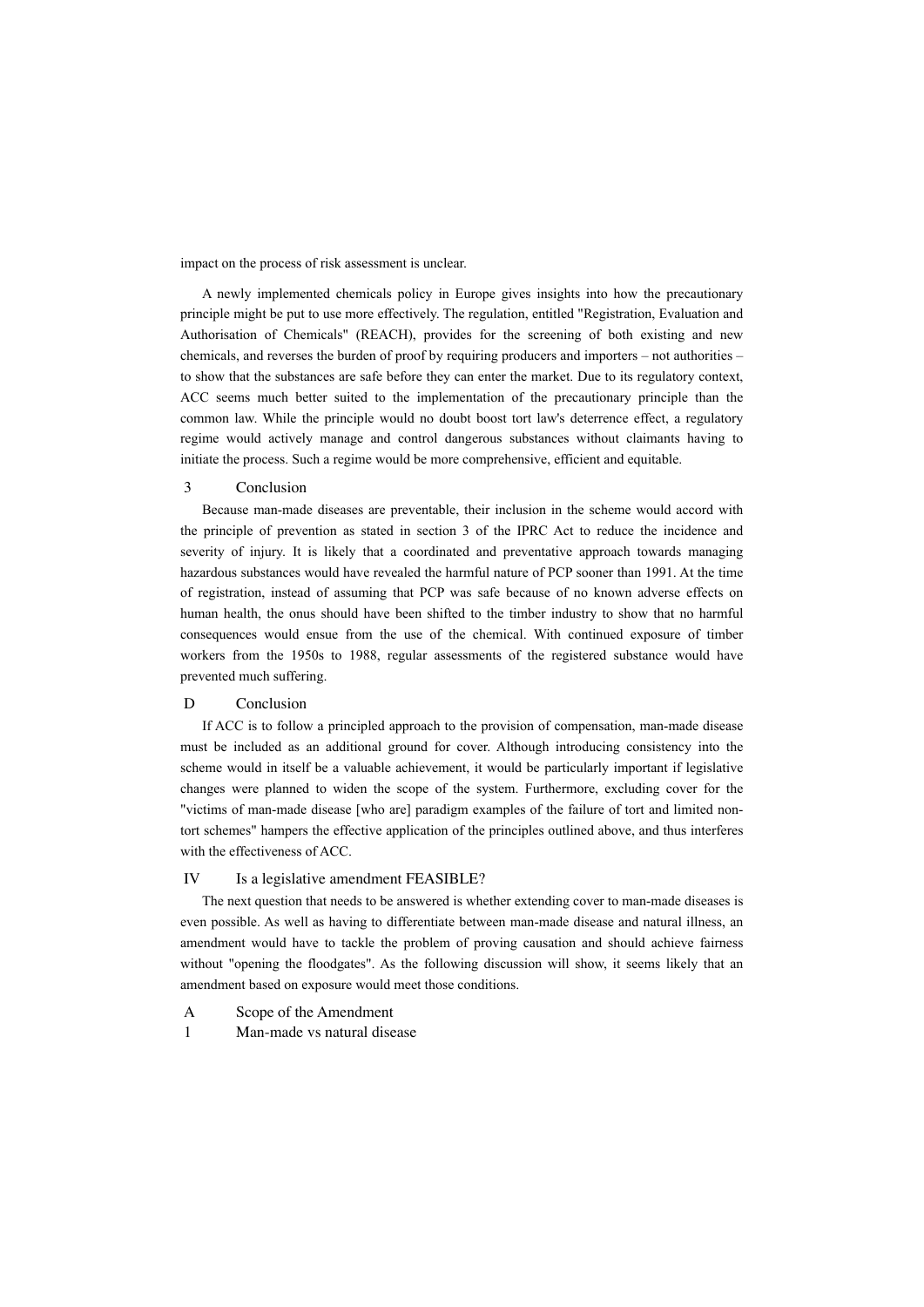impact on the process of risk assessment is unclear.

A newly implemented chemicals policy in Europe gives insights into how the precautionary principle might be put to use more effectively. The regulation, entitled "Registration, Evaluation and Authorisation of Chemicals" (REACH), provides for the screening of both existing and new chemicals, and reverses the burden of proof by requiring producers and importers – not authorities – to show that the substances are safe before they can enter the market. Due to its regulatory context, ACC seems much better suited to the implementation of the precautionary principle than the common law. While the principle would no doubt boost tort law's deterrence effect, a regulatory regime would actively manage and control dangerous substances without claimants having to initiate the process. Such a regime would be more comprehensive, efficient and equitable.

## 3 Conclusion

Because man-made diseases are preventable, their inclusion in the scheme would accord with the principle of prevention as stated in section 3 of the IPRC Act to reduce the incidence and severity of injury. It is likely that a coordinated and preventative approach towards managing hazardous substances would have revealed the harmful nature of PCP sooner than 1991. At the time of registration, instead of assuming that PCP was safe because of no known adverse effects on human health, the onus should have been shifted to the timber industry to show that no harmful consequences would ensue from the use of the chemical. With continued exposure of timber workers from the 1950s to 1988, regular assessments of the registered substance would have prevented much suffering.

# D Conclusion

If ACC is to follow a principled approach to the provision of compensation, man-made disease must be included as an additional ground for cover. Although introducing consistency into the scheme would in itself be a valuable achievement, it would be particularly important if legislative changes were planned to widen the scope of the system. Furthermore, excluding cover for the "victims of man-made disease [who are] paradigm examples of the failure of tort and limited nontort schemes" hampers the effective application of the principles outlined above, and thus interferes with the effectiveness of ACC.

#### IV Is a legislative amendment FEASIBLE?

The next question that needs to be answered is whether extending cover to man-made diseases is even possible. As well as having to differentiate between man-made disease and natural illness, an amendment would have to tackle the problem of proving causation and should achieve fairness without "opening the floodgates". As the following discussion will show, it seems likely that an amendment based on exposure would meet those conditions.

- A Scope of the Amendment
- 1 Man-made vs natural disease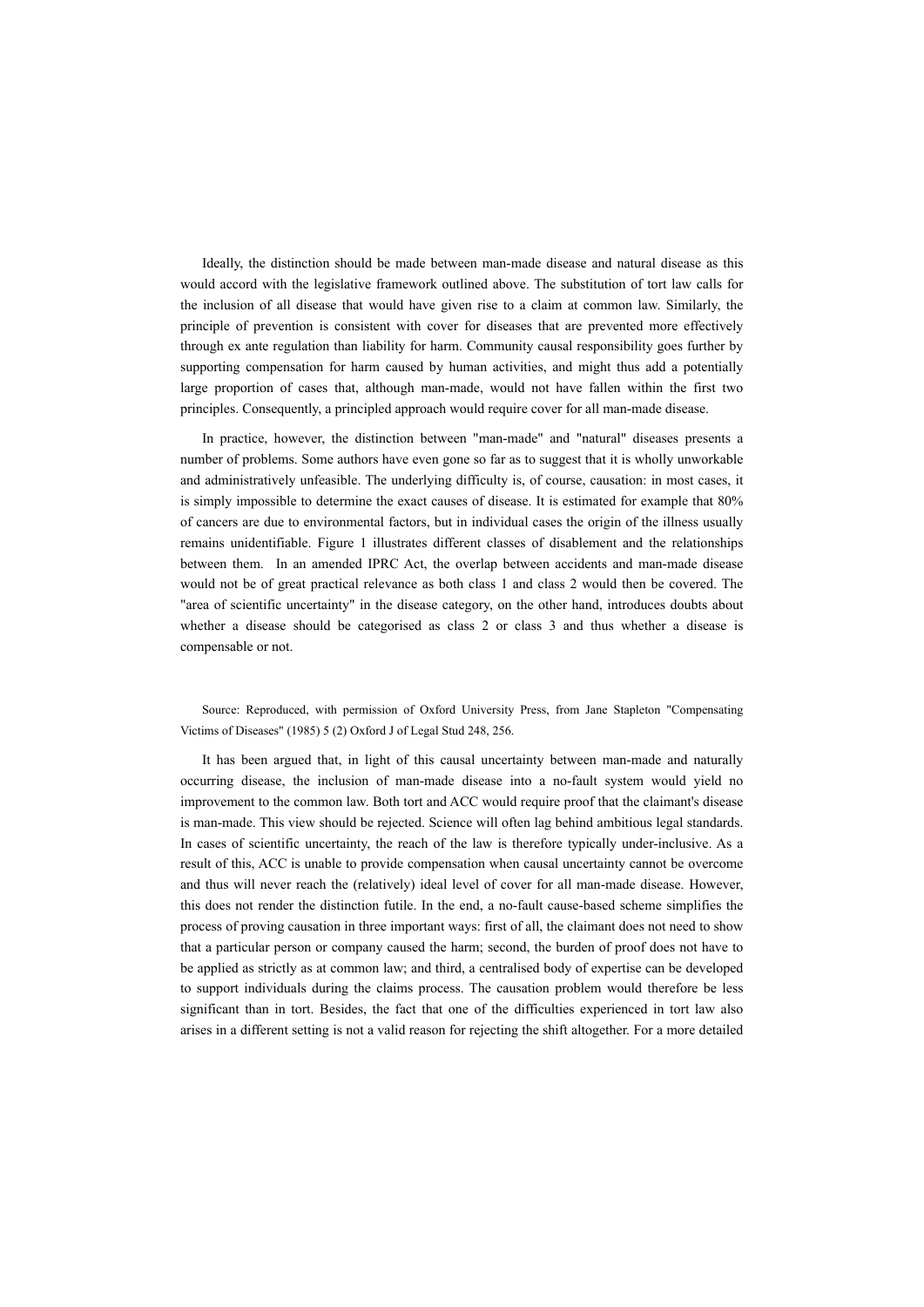Ideally, the distinction should be made between man-made disease and natural disease as this would accord with the legislative framework outlined above. The substitution of tort law calls for the inclusion of all disease that would have given rise to a claim at common law. Similarly, the principle of prevention is consistent with cover for diseases that are prevented more effectively through ex ante regulation than liability for harm. Community causal responsibility goes further by supporting compensation for harm caused by human activities, and might thus add a potentially large proportion of cases that, although man-made, would not have fallen within the first two principles. Consequently, a principled approach would require cover for all man-made disease.

In practice, however, the distinction between "man-made" and "natural" diseases presents a number of problems. Some authors have even gone so far as to suggest that it is wholly unworkable and administratively unfeasible. The underlying difficulty is, of course, causation: in most cases, it is simply impossible to determine the exact causes of disease. It is estimated for example that 80% of cancers are due to environmental factors, but in individual cases the origin of the illness usually remains unidentifiable. Figure 1 illustrates different classes of disablement and the relationships between them. In an amended IPRC Act, the overlap between accidents and man-made disease would not be of great practical relevance as both class 1 and class 2 would then be covered. The "area of scientific uncertainty" in the disease category, on the other hand, introduces doubts about whether a disease should be categorised as class 2 or class 3 and thus whether a disease is compensable or not.

Source: Reproduced, with permission of Oxford University Press, from Jane Stapleton "Compensating Victims of Diseases" (1985) 5 (2) Oxford J of Legal Stud 248, 256.

It has been argued that, in light of this causal uncertainty between man-made and naturally occurring disease, the inclusion of man-made disease into a no-fault system would yield no improvement to the common law. Both tort and ACC would require proof that the claimant's disease is man-made. This view should be rejected. Science will often lag behind ambitious legal standards. In cases of scientific uncertainty, the reach of the law is therefore typically under-inclusive. As a result of this, ACC is unable to provide compensation when causal uncertainty cannot be overcome and thus will never reach the (relatively) ideal level of cover for all man-made disease. However, this does not render the distinction futile. In the end, a no-fault cause-based scheme simplifies the process of proving causation in three important ways: first of all, the claimant does not need to show that a particular person or company caused the harm; second, the burden of proof does not have to be applied as strictly as at common law; and third, a centralised body of expertise can be developed to support individuals during the claims process. The causation problem would therefore be less significant than in tort. Besides, the fact that one of the difficulties experienced in tort law also arises in a different setting is not a valid reason for rejecting the shift altogether. For a more detailed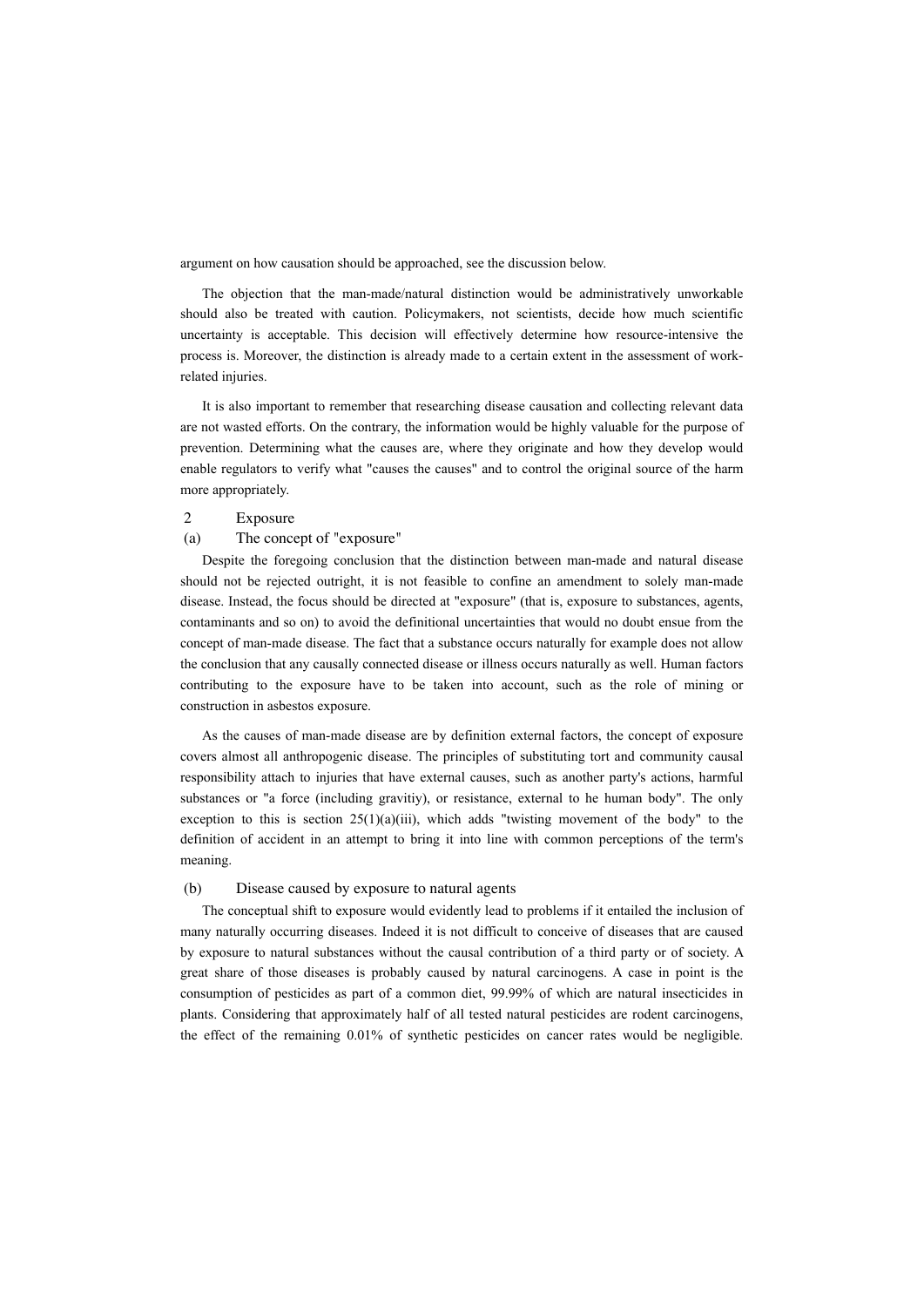argument on how causation should be approached, see the discussion below.

The objection that the man-made/natural distinction would be administratively unworkable should also be treated with caution. Policymakers, not scientists, decide how much scientific uncertainty is acceptable. This decision will effectively determine how resource-intensive the process is. Moreover, the distinction is already made to a certain extent in the assessment of workrelated injuries.

It is also important to remember that researching disease causation and collecting relevant data are not wasted efforts. On the contrary, the information would be highly valuable for the purpose of prevention. Determining what the causes are, where they originate and how they develop would enable regulators to verify what "causes the causes" and to control the original source of the harm more appropriately.

## 2 Exposure

#### (a) The concept of "exposure"

Despite the foregoing conclusion that the distinction between man-made and natural disease should not be rejected outright, it is not feasible to confine an amendment to solely man-made disease. Instead, the focus should be directed at "exposure" (that is, exposure to substances, agents, contaminants and so on) to avoid the definitional uncertainties that would no doubt ensue from the concept of man-made disease. The fact that a substance occurs naturally for example does not allow the conclusion that any causally connected disease or illness occurs naturally as well. Human factors contributing to the exposure have to be taken into account, such as the role of mining or construction in asbestos exposure.

As the causes of man-made disease are by definition external factors, the concept of exposure covers almost all anthropogenic disease. The principles of substituting tort and community causal responsibility attach to injuries that have external causes, such as another party's actions, harmful substances or "a force (including gravitiy), or resistance, external to he human body". The only exception to this is section  $25(1)(a)(iii)$ , which adds "twisting movement of the body" to the definition of accident in an attempt to bring it into line with common perceptions of the term's meaning.

### (b) Disease caused by exposure to natural agents

The conceptual shift to exposure would evidently lead to problems if it entailed the inclusion of many naturally occurring diseases. Indeed it is not difficult to conceive of diseases that are caused by exposure to natural substances without the causal contribution of a third party or of society. A great share of those diseases is probably caused by natural carcinogens. A case in point is the consumption of pesticides as part of a common diet, 99.99% of which are natural insecticides in plants. Considering that approximately half of all tested natural pesticides are rodent carcinogens, the effect of the remaining 0.01% of synthetic pesticides on cancer rates would be negligible.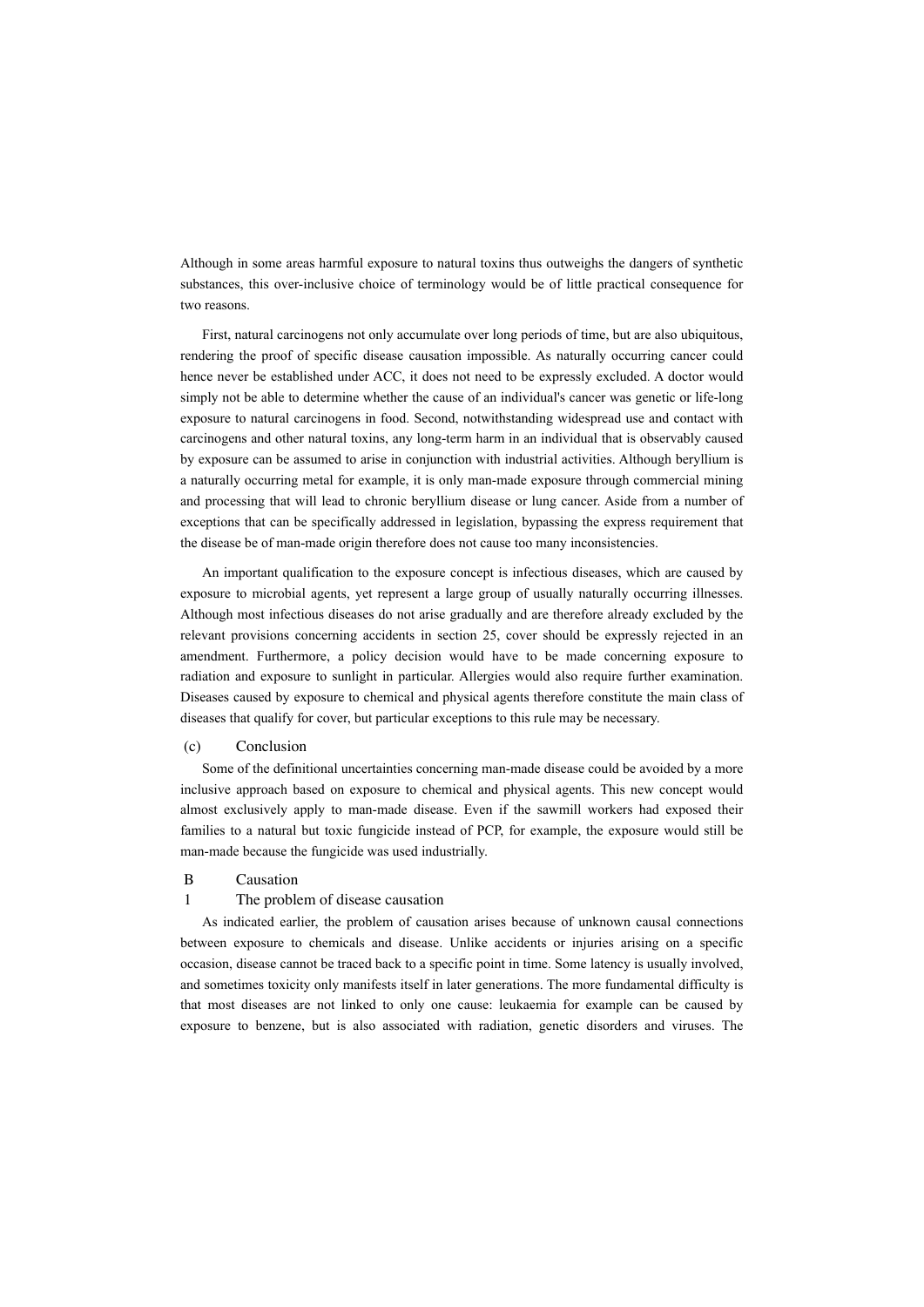Although in some areas harmful exposure to natural toxins thus outweighs the dangers of synthetic substances, this over-inclusive choice of terminology would be of little practical consequence for two reasons.

First, natural carcinogens not only accumulate over long periods of time, but are also ubiquitous, rendering the proof of specific disease causation impossible. As naturally occurring cancer could hence never be established under ACC, it does not need to be expressly excluded. A doctor would simply not be able to determine whether the cause of an individual's cancer was genetic or life-long exposure to natural carcinogens in food. Second, notwithstanding widespread use and contact with carcinogens and other natural toxins, any long-term harm in an individual that is observably caused by exposure can be assumed to arise in conjunction with industrial activities. Although beryllium is a naturally occurring metal for example, it is only man-made exposure through commercial mining and processing that will lead to chronic beryllium disease or lung cancer. Aside from a number of exceptions that can be specifically addressed in legislation, bypassing the express requirement that the disease be of man-made origin therefore does not cause too many inconsistencies.

An important qualification to the exposure concept is infectious diseases, which are caused by exposure to microbial agents, yet represent a large group of usually naturally occurring illnesses. Although most infectious diseases do not arise gradually and are therefore already excluded by the relevant provisions concerning accidents in section 25, cover should be expressly rejected in an amendment. Furthermore, a policy decision would have to be made concerning exposure to radiation and exposure to sunlight in particular. Allergies would also require further examination. Diseases caused by exposure to chemical and physical agents therefore constitute the main class of diseases that qualify for cover, but particular exceptions to this rule may be necessary.

# (c) Conclusion

Some of the definitional uncertainties concerning man-made disease could be avoided by a more inclusive approach based on exposure to chemical and physical agents. This new concept would almost exclusively apply to man-made disease. Even if the sawmill workers had exposed their families to a natural but toxic fungicide instead of PCP, for example, the exposure would still be man-made because the fungicide was used industrially.

#### B Causation

#### 1 The problem of disease causation

As indicated earlier, the problem of causation arises because of unknown causal connections between exposure to chemicals and disease. Unlike accidents or injuries arising on a specific occasion, disease cannot be traced back to a specific point in time. Some latency is usually involved, and sometimes toxicity only manifests itself in later generations. The more fundamental difficulty is that most diseases are not linked to only one cause: leukaemia for example can be caused by exposure to benzene, but is also associated with radiation, genetic disorders and viruses. The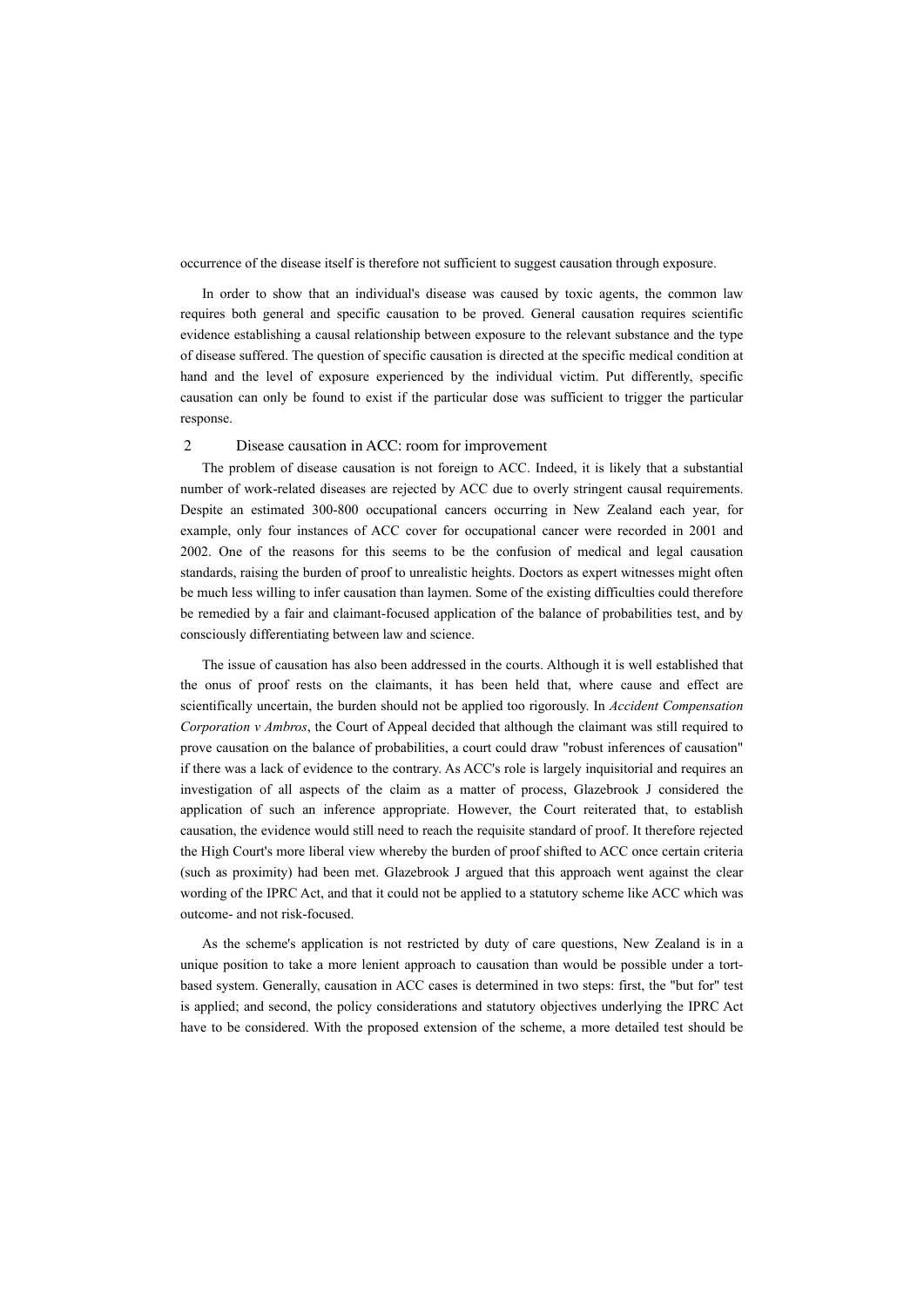occurrence of the disease itself is therefore not sufficient to suggest causation through exposure.

In order to show that an individual's disease was caused by toxic agents, the common law requires both general and specific causation to be proved. General causation requires scientific evidence establishing a causal relationship between exposure to the relevant substance and the type of disease suffered. The question of specific causation is directed at the specific medical condition at hand and the level of exposure experienced by the individual victim. Put differently, specific causation can only be found to exist if the particular dose was sufficient to trigger the particular response.

#### 2 Disease causation in ACC: room for improvement

The problem of disease causation is not foreign to ACC. Indeed, it is likely that a substantial number of work-related diseases are rejected by ACC due to overly stringent causal requirements. Despite an estimated 300-800 occupational cancers occurring in New Zealand each year, for example, only four instances of ACC cover for occupational cancer were recorded in 2001 and 2002. One of the reasons for this seems to be the confusion of medical and legal causation standards, raising the burden of proof to unrealistic heights. Doctors as expert witnesses might often be much less willing to infer causation than laymen. Some of the existing difficulties could therefore be remedied by a fair and claimant-focused application of the balance of probabilities test, and by consciously differentiating between law and science.

The issue of causation has also been addressed in the courts. Although it is well established that the onus of proof rests on the claimants, it has been held that, where cause and effect are scientifically uncertain, the burden should not be applied too rigorously. In *Accident Compensation Corporation v Ambros*, the Court of Appeal decided that although the claimant was still required to prove causation on the balance of probabilities, a court could draw "robust inferences of causation" if there was a lack of evidence to the contrary. As ACC's role is largely inquisitorial and requires an investigation of all aspects of the claim as a matter of process, Glazebrook J considered the application of such an inference appropriate. However, the Court reiterated that, to establish causation, the evidence would still need to reach the requisite standard of proof. It therefore rejected the High Court's more liberal view whereby the burden of proof shifted to ACC once certain criteria (such as proximity) had been met. Glazebrook J argued that this approach went against the clear wording of the IPRC Act, and that it could not be applied to a statutory scheme like ACC which was outcome- and not risk-focused.

As the scheme's application is not restricted by duty of care questions, New Zealand is in a unique position to take a more lenient approach to causation than would be possible under a tortbased system. Generally, causation in ACC cases is determined in two steps: first, the "but for" test is applied; and second, the policy considerations and statutory objectives underlying the IPRC Act have to be considered. With the proposed extension of the scheme, a more detailed test should be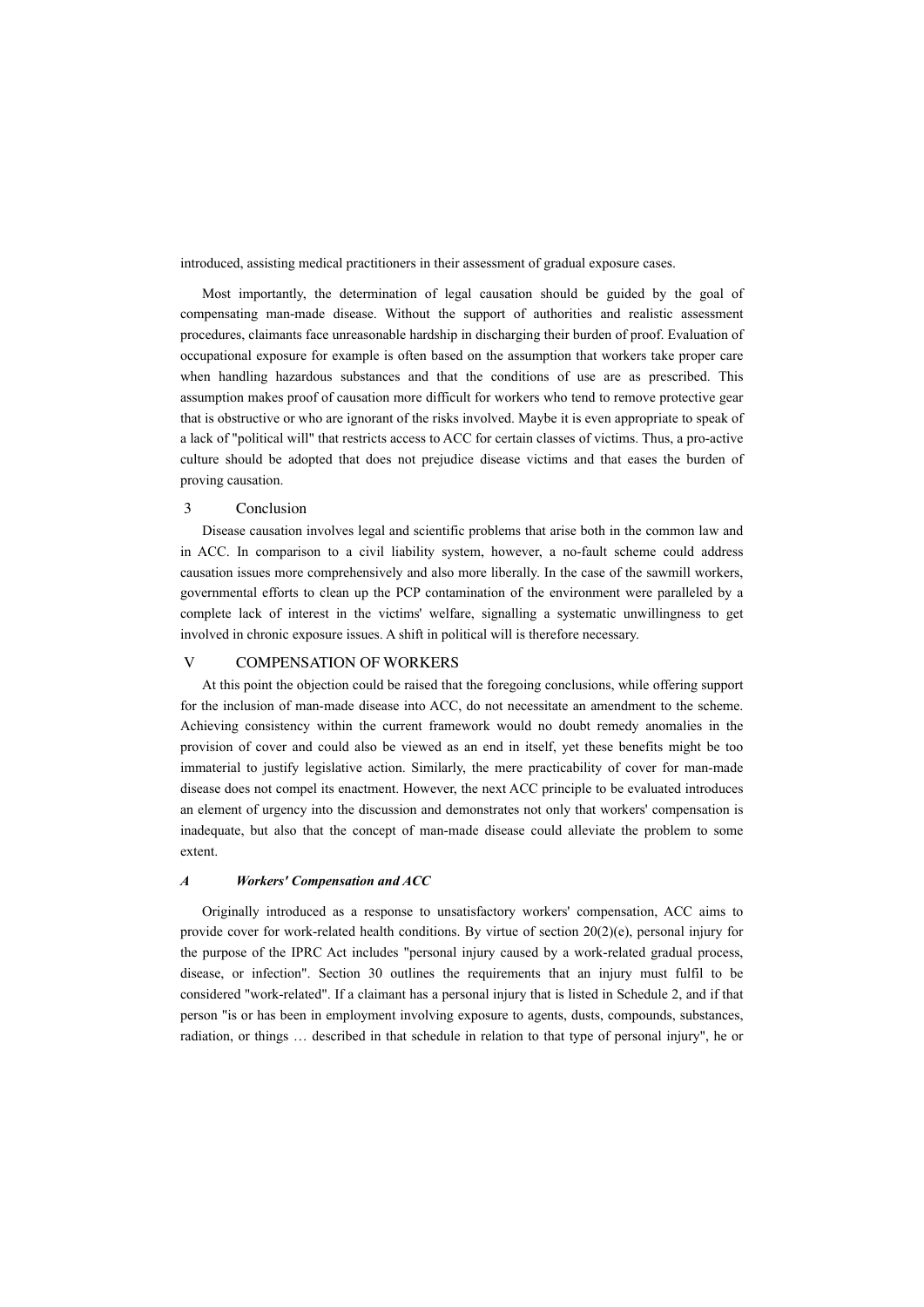introduced, assisting medical practitioners in their assessment of gradual exposure cases.

Most importantly, the determination of legal causation should be guided by the goal of compensating man-made disease. Without the support of authorities and realistic assessment procedures, claimants face unreasonable hardship in discharging their burden of proof. Evaluation of occupational exposure for example is often based on the assumption that workers take proper care when handling hazardous substances and that the conditions of use are as prescribed. This assumption makes proof of causation more difficult for workers who tend to remove protective gear that is obstructive or who are ignorant of the risks involved. Maybe it is even appropriate to speak of a lack of "political will" that restricts access to ACC for certain classes of victims. Thus, a pro-active culture should be adopted that does not prejudice disease victims and that eases the burden of proving causation.

## 3 Conclusion

Disease causation involves legal and scientific problems that arise both in the common law and in ACC. In comparison to a civil liability system, however, a no-fault scheme could address causation issues more comprehensively and also more liberally. In the case of the sawmill workers, governmental efforts to clean up the PCP contamination of the environment were paralleled by a complete lack of interest in the victims' welfare, signalling a systematic unwillingness to get involved in chronic exposure issues. A shift in political will is therefore necessary.

# V COMPENSATION OF WORKERS

At this point the objection could be raised that the foregoing conclusions, while offering support for the inclusion of man-made disease into ACC, do not necessitate an amendment to the scheme. Achieving consistency within the current framework would no doubt remedy anomalies in the provision of cover and could also be viewed as an end in itself, yet these benefits might be too immaterial to justify legislative action. Similarly, the mere practicability of cover for man-made disease does not compel its enactment. However, the next ACC principle to be evaluated introduces an element of urgency into the discussion and demonstrates not only that workers' compensation is inadequate, but also that the concept of man-made disease could alleviate the problem to some extent.

#### *A Workers' Compensation and ACC*

Originally introduced as a response to unsatisfactory workers' compensation, ACC aims to provide cover for work-related health conditions. By virtue of section  $20(2)(e)$ , personal injury for the purpose of the IPRC Act includes "personal injury caused by a work-related gradual process, disease, or infection". Section 30 outlines the requirements that an injury must fulfil to be considered "work-related". If a claimant has a personal injury that is listed in Schedule 2, and if that person "is or has been in employment involving exposure to agents, dusts, compounds, substances, radiation, or things … described in that schedule in relation to that type of personal injury", he or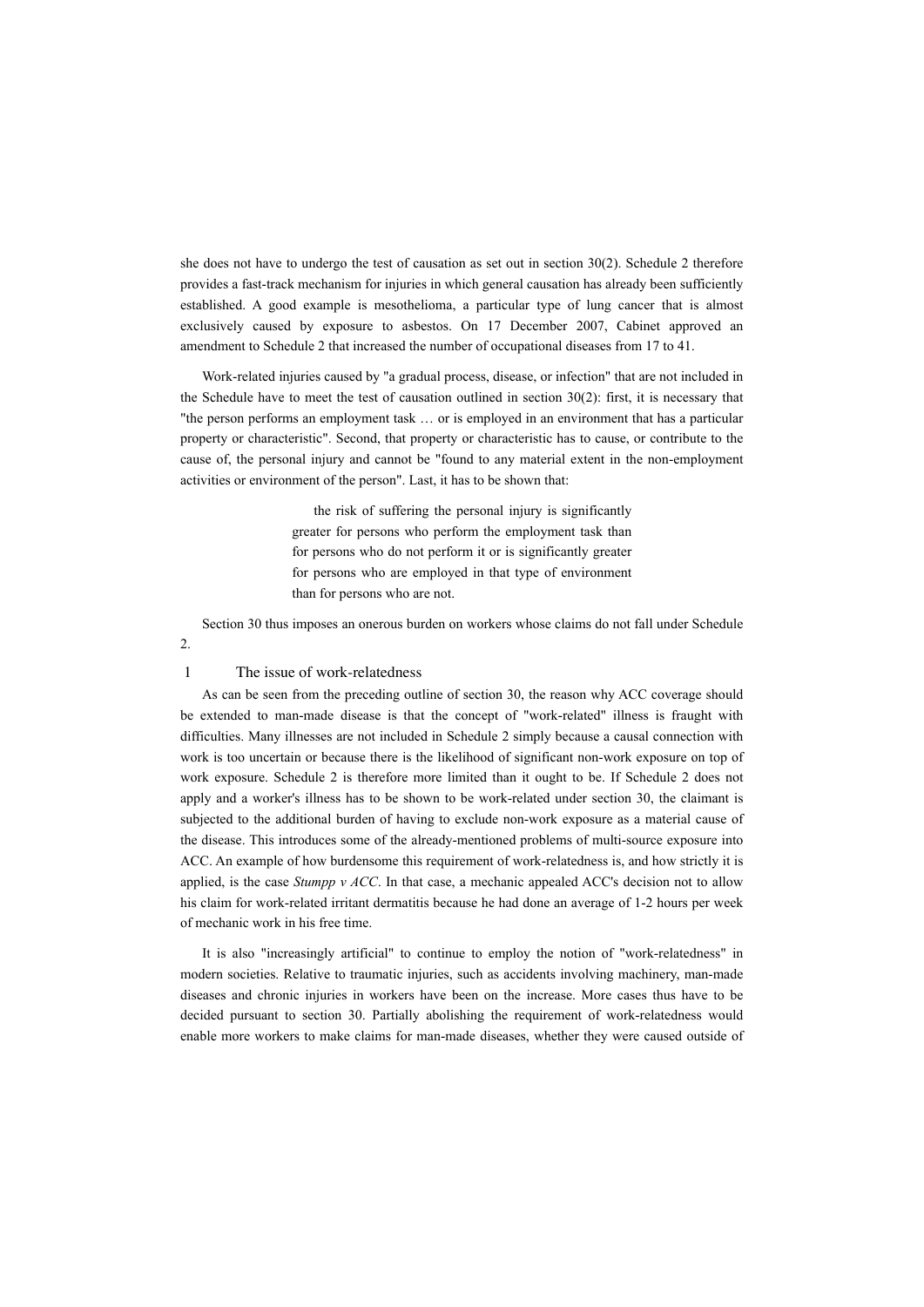she does not have to undergo the test of causation as set out in section 30(2). Schedule 2 therefore provides a fast-track mechanism for injuries in which general causation has already been sufficiently established. A good example is mesothelioma, a particular type of lung cancer that is almost exclusively caused by exposure to asbestos. On 17 December 2007, Cabinet approved an amendment to Schedule 2 that increased the number of occupational diseases from 17 to 41.

Work-related injuries caused by "a gradual process, disease, or infection" that are not included in the Schedule have to meet the test of causation outlined in section 30(2): first, it is necessary that "the person performs an employment task … or is employed in an environment that has a particular property or characteristic". Second, that property or characteristic has to cause, or contribute to the cause of, the personal injury and cannot be "found to any material extent in the non-employment activities or environment of the person". Last, it has to be shown that:

> the risk of suffering the personal injury is significantly greater for persons who perform the employment task than for persons who do not perform it or is significantly greater for persons who are employed in that type of environment than for persons who are not.

Section 30 thus imposes an onerous burden on workers whose claims do not fall under Schedule

# 1 The issue of work-relatedness

2.

As can be seen from the preceding outline of section 30, the reason why ACC coverage should be extended to man-made disease is that the concept of "work-related" illness is fraught with difficulties. Many illnesses are not included in Schedule 2 simply because a causal connection with work is too uncertain or because there is the likelihood of significant non-work exposure on top of work exposure. Schedule 2 is therefore more limited than it ought to be. If Schedule 2 does not apply and a worker's illness has to be shown to be work-related under section 30, the claimant is subjected to the additional burden of having to exclude non-work exposure as a material cause of the disease. This introduces some of the already-mentioned problems of multi-source exposure into ACC. An example of how burdensome this requirement of work-relatedness is, and how strictly it is applied, is the case *Stumpp v ACC*. In that case, a mechanic appealed ACC's decision not to allow his claim for work-related irritant dermatitis because he had done an average of 1-2 hours per week of mechanic work in his free time.

It is also "increasingly artificial" to continue to employ the notion of "work-relatedness" in modern societies. Relative to traumatic injuries, such as accidents involving machinery, man-made diseases and chronic injuries in workers have been on the increase. More cases thus have to be decided pursuant to section 30. Partially abolishing the requirement of work-relatedness would enable more workers to make claims for man-made diseases, whether they were caused outside of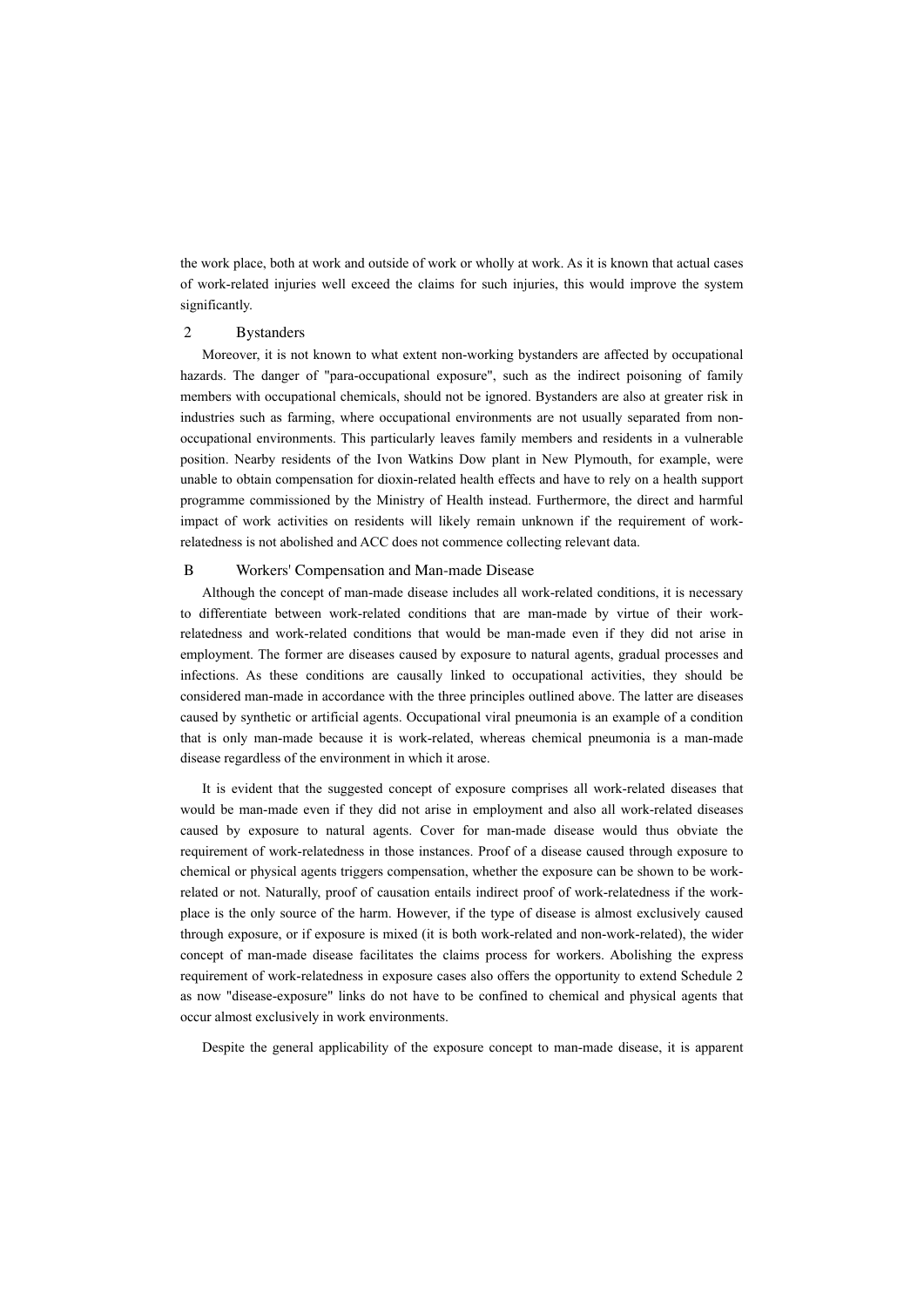the work place, both at work and outside of work or wholly at work. As it is known that actual cases of work-related injuries well exceed the claims for such injuries, this would improve the system significantly.

## 2 Bystanders

Moreover, it is not known to what extent non-working bystanders are affected by occupational hazards. The danger of "para-occupational exposure", such as the indirect poisoning of family members with occupational chemicals, should not be ignored. Bystanders are also at greater risk in industries such as farming, where occupational environments are not usually separated from nonoccupational environments. This particularly leaves family members and residents in a vulnerable position. Nearby residents of the Ivon Watkins Dow plant in New Plymouth, for example, were unable to obtain compensation for dioxin-related health effects and have to rely on a health support programme commissioned by the Ministry of Health instead. Furthermore, the direct and harmful impact of work activities on residents will likely remain unknown if the requirement of workrelatedness is not abolished and ACC does not commence collecting relevant data.

# B Workers' Compensation and Man-made Disease

Although the concept of man-made disease includes all work-related conditions, it is necessary to differentiate between work-related conditions that are man-made by virtue of their workrelatedness and work-related conditions that would be man-made even if they did not arise in employment. The former are diseases caused by exposure to natural agents, gradual processes and infections. As these conditions are causally linked to occupational activities, they should be considered man-made in accordance with the three principles outlined above. The latter are diseases caused by synthetic or artificial agents. Occupational viral pneumonia is an example of a condition that is only man-made because it is work-related, whereas chemical pneumonia is a man-made disease regardless of the environment in which it arose.

It is evident that the suggested concept of exposure comprises all work-related diseases that would be man-made even if they did not arise in employment and also all work-related diseases caused by exposure to natural agents. Cover for man-made disease would thus obviate the requirement of work-relatedness in those instances. Proof of a disease caused through exposure to chemical or physical agents triggers compensation, whether the exposure can be shown to be workrelated or not. Naturally, proof of causation entails indirect proof of work-relatedness if the workplace is the only source of the harm. However, if the type of disease is almost exclusively caused through exposure, or if exposure is mixed (it is both work-related and non-work-related), the wider concept of man-made disease facilitates the claims process for workers. Abolishing the express requirement of work-relatedness in exposure cases also offers the opportunity to extend Schedule 2 as now "disease-exposure" links do not have to be confined to chemical and physical agents that occur almost exclusively in work environments.

Despite the general applicability of the exposure concept to man-made disease, it is apparent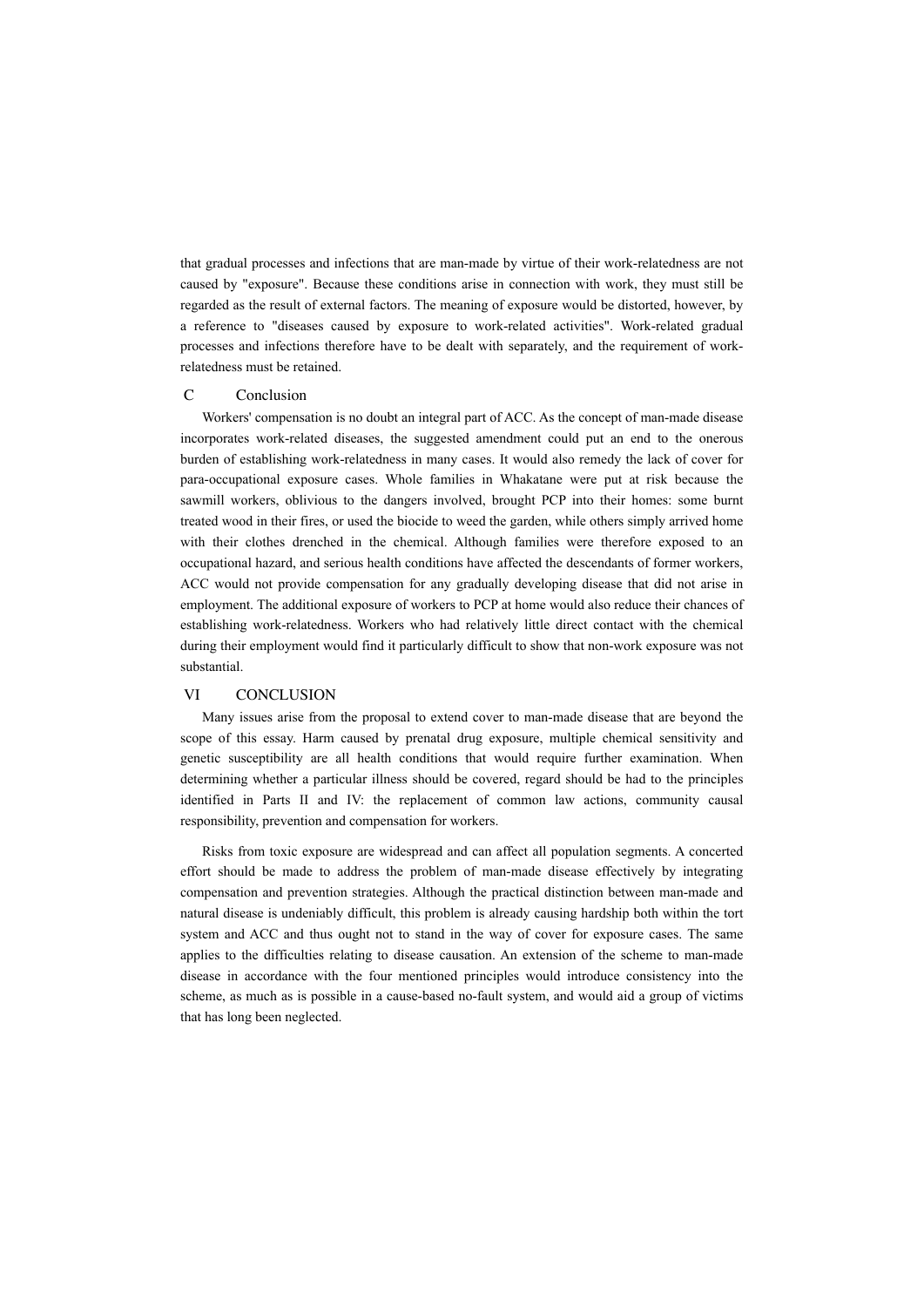that gradual processes and infections that are man-made by virtue of their work-relatedness are not caused by "exposure". Because these conditions arise in connection with work, they must still be regarded as the result of external factors. The meaning of exposure would be distorted, however, by a reference to "diseases caused by exposure to work-related activities". Work-related gradual processes and infections therefore have to be dealt with separately, and the requirement of workrelatedness must be retained.

#### C Conclusion

Workers' compensation is no doubt an integral part of ACC. As the concept of man-made disease incorporates work-related diseases, the suggested amendment could put an end to the onerous burden of establishing work-relatedness in many cases. It would also remedy the lack of cover for para-occupational exposure cases. Whole families in Whakatane were put at risk because the sawmill workers, oblivious to the dangers involved, brought PCP into their homes: some burnt treated wood in their fires, or used the biocide to weed the garden, while others simply arrived home with their clothes drenched in the chemical. Although families were therefore exposed to an occupational hazard, and serious health conditions have affected the descendants of former workers, ACC would not provide compensation for any gradually developing disease that did not arise in employment. The additional exposure of workers to PCP at home would also reduce their chances of establishing work-relatedness. Workers who had relatively little direct contact with the chemical during their employment would find it particularly difficult to show that non-work exposure was not substantial.

## VI CONCLUSION

Many issues arise from the proposal to extend cover to man-made disease that are beyond the scope of this essay. Harm caused by prenatal drug exposure, multiple chemical sensitivity and genetic susceptibility are all health conditions that would require further examination. When determining whether a particular illness should be covered, regard should be had to the principles identified in Parts II and IV: the replacement of common law actions, community causal responsibility, prevention and compensation for workers.

Risks from toxic exposure are widespread and can affect all population segments. A concerted effort should be made to address the problem of man-made disease effectively by integrating compensation and prevention strategies. Although the practical distinction between man-made and natural disease is undeniably difficult, this problem is already causing hardship both within the tort system and ACC and thus ought not to stand in the way of cover for exposure cases. The same applies to the difficulties relating to disease causation. An extension of the scheme to man-made disease in accordance with the four mentioned principles would introduce consistency into the scheme, as much as is possible in a cause-based no-fault system, and would aid a group of victims that has long been neglected.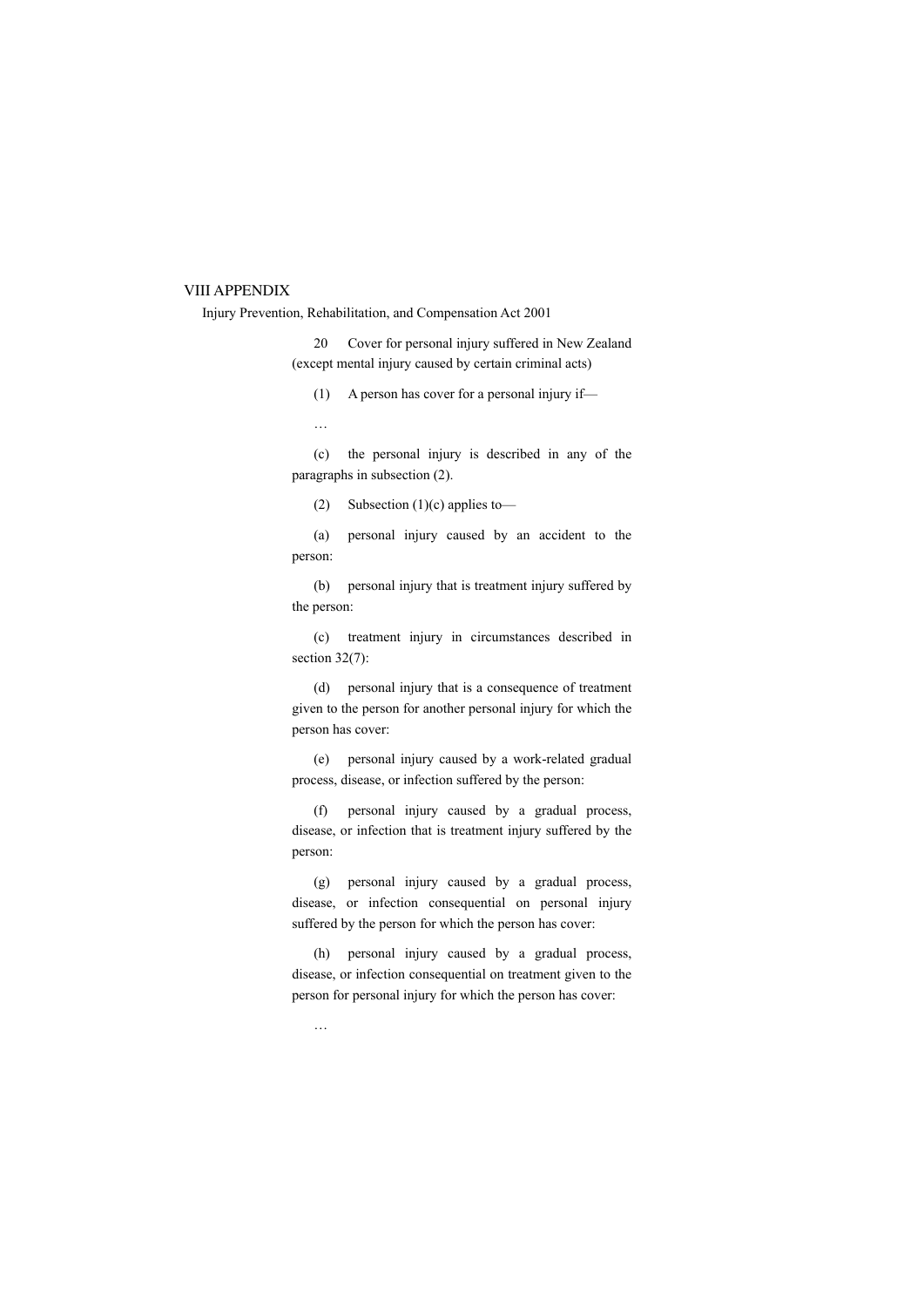# VIII APPENDIX

Injury Prevention, Rehabilitation, and Compensation Act 2001

20 Cover for personal injury suffered in New Zealand (except mental injury caused by certain criminal acts)

(1) A person has cover for a personal injury if—

…

(c) the personal injury is described in any of the paragraphs in subsection (2).

(2) Subsection (1)(c) applies to—

(a) personal injury caused by an accident to the person:

(b) personal injury that is treatment injury suffered by the person:

(c) treatment injury in circumstances described in section 32(7):

(d) personal injury that is a consequence of treatment given to the person for another personal injury for which the person has cover:

(e) personal injury caused by a work-related gradual process, disease, or infection suffered by the person:

(f) personal injury caused by a gradual process, disease, or infection that is treatment injury suffered by the person:

(g) personal injury caused by a gradual process, disease, or infection consequential on personal injury suffered by the person for which the person has cover:

(h) personal injury caused by a gradual process, disease, or infection consequential on treatment given to the person for personal injury for which the person has cover:

…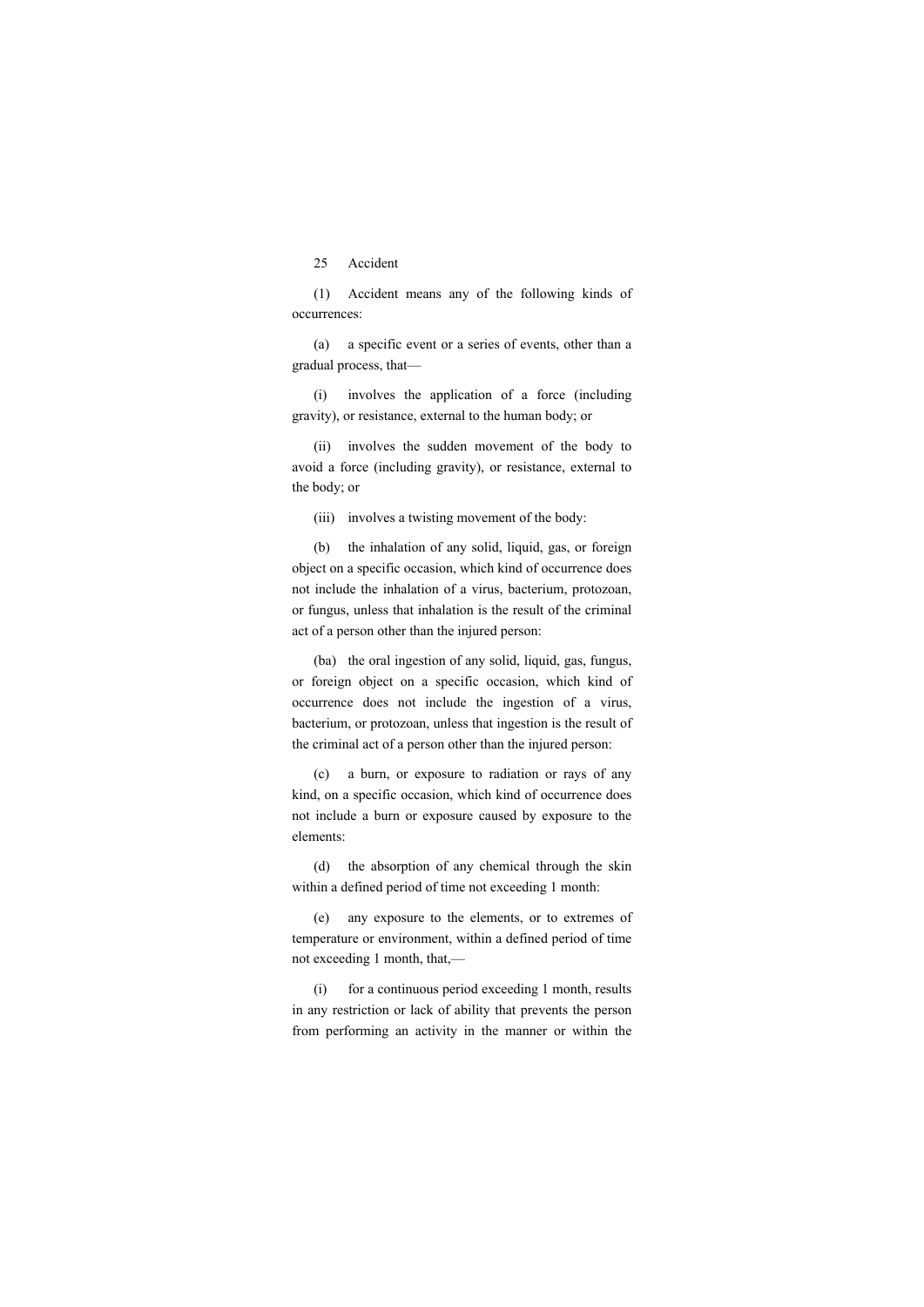# 25 Accident

(1) Accident means any of the following kinds of occurrences:

(a) a specific event or a series of events, other than a gradual process, that—

(i) involves the application of a force (including gravity), or resistance, external to the human body; or

(ii) involves the sudden movement of the body to avoid a force (including gravity), or resistance, external to the body; or

(iii) involves a twisting movement of the body:

(b) the inhalation of any solid, liquid, gas, or foreign object on a specific occasion, which kind of occurrence does not include the inhalation of a virus, bacterium, protozoan, or fungus, unless that inhalation is the result of the criminal act of a person other than the injured person:

(ba) the oral ingestion of any solid, liquid, gas, fungus, or foreign object on a specific occasion, which kind of occurrence does not include the ingestion of a virus, bacterium, or protozoan, unless that ingestion is the result of the criminal act of a person other than the injured person:

(c) a burn, or exposure to radiation or rays of any kind, on a specific occasion, which kind of occurrence does not include a burn or exposure caused by exposure to the elements:

(d) the absorption of any chemical through the skin within a defined period of time not exceeding 1 month:

(e) any exposure to the elements, or to extremes of temperature or environment, within a defined period of time not exceeding 1 month, that,—

(i) for a continuous period exceeding 1 month, results in any restriction or lack of ability that prevents the person from performing an activity in the manner or within the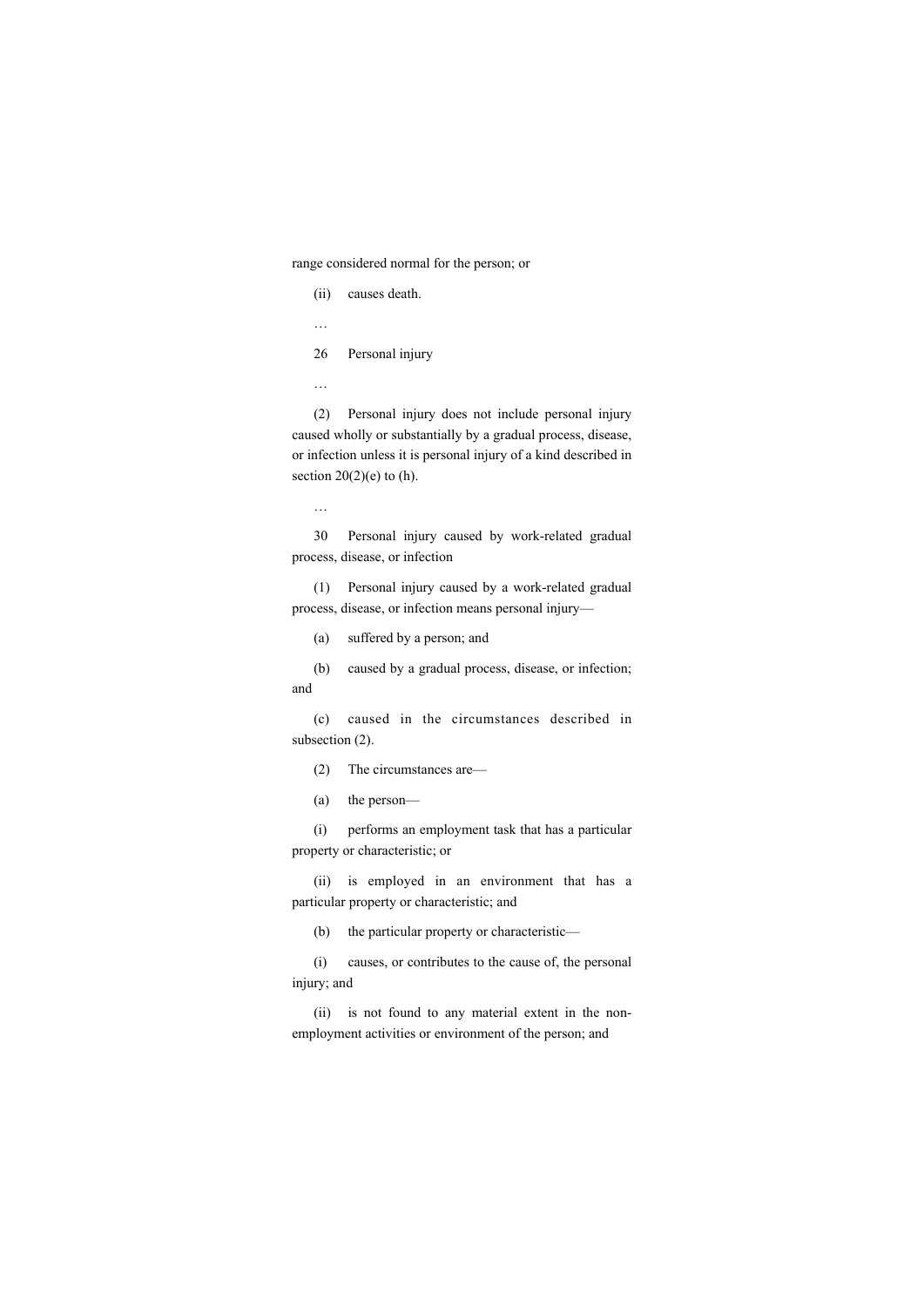range considered normal for the person; or

(ii) causes death.

…

26 Personal injury

…

(2) Personal injury does not include personal injury caused wholly or substantially by a gradual process, disease, or infection unless it is personal injury of a kind described in section  $20(2)(e)$  to (h).

…

30 Personal injury caused by work-related gradual process, disease, or infection

(1) Personal injury caused by a work-related gradual process, disease, or infection means personal injury—

(a) suffered by a person; and

(b) caused by a gradual process, disease, or infection; and

(c) caused in the circumstances described in subsection (2).

(2) The circumstances are—

(a) the person—

(i) performs an employment task that has a particular property or characteristic; or

(ii) is employed in an environment that has a particular property or characteristic; and

(b) the particular property or characteristic—

(i) causes, or contributes to the cause of, the personal injury; and

(ii) is not found to any material extent in the nonemployment activities or environment of the person; and